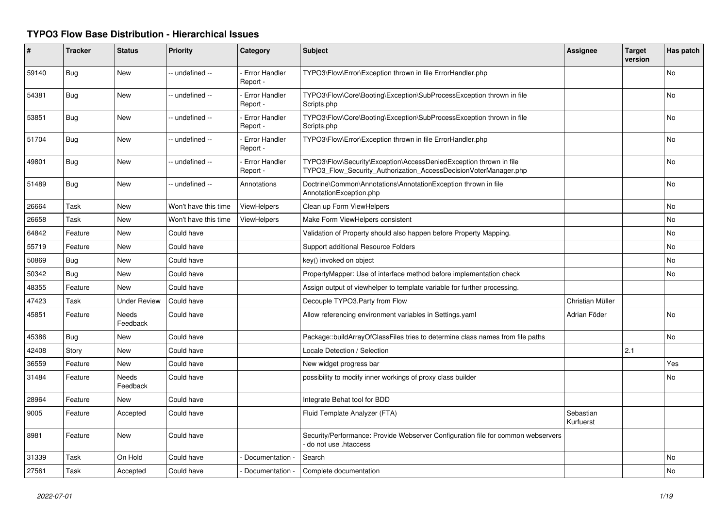## **TYPO3 Flow Base Distribution - Hierarchical Issues**

| #     | <b>Tracker</b> | <b>Status</b>            | <b>Priority</b>      | Category                         | <b>Subject</b>                                                                                                                         | <b>Assignee</b>        | <b>Target</b><br>version | Has patch |
|-------|----------------|--------------------------|----------------------|----------------------------------|----------------------------------------------------------------------------------------------------------------------------------------|------------------------|--------------------------|-----------|
| 59140 | <b>Bug</b>     | <b>New</b>               | -- undefined --      | <b>Error Handler</b><br>Report - | TYPO3\Flow\Error\Exception thrown in file ErrorHandler.php                                                                             |                        |                          | <b>No</b> |
| 54381 | <b>Bug</b>     | <b>New</b>               | -- undefined --      | <b>Error Handler</b><br>Report - | TYPO3\Flow\Core\Booting\Exception\SubProcessException thrown in file<br>Scripts.php                                                    |                        |                          | <b>No</b> |
| 53851 | Bug            | New                      | -- undefined --      | <b>Error Handler</b><br>Report - | TYPO3\Flow\Core\Booting\Exception\SubProcessException thrown in file<br>Scripts.php                                                    |                        |                          | No        |
| 51704 | Bug            | New                      | -- undefined --      | <b>Error Handler</b><br>Report - | TYPO3\Flow\Error\Exception thrown in file ErrorHandler.php                                                                             |                        |                          | No        |
| 49801 | Bug            | <b>New</b>               | -- undefined --      | <b>Error Handler</b><br>Report - | TYPO3\Flow\Security\Exception\AccessDeniedException thrown in file<br>TYPO3_Flow_Security_Authorization_AccessDecisionVoterManager.php |                        |                          | <b>No</b> |
| 51489 | Bug            | <b>New</b>               | -- undefined --      | Annotations                      | Doctrine\Common\Annotations\AnnotationException thrown in file<br>AnnotationException.php                                              |                        |                          | No        |
| 26664 | Task           | <b>New</b>               | Won't have this time | <b>ViewHelpers</b>               | Clean up Form ViewHelpers                                                                                                              |                        |                          | <b>No</b> |
| 26658 | Task           | <b>New</b>               | Won't have this time | <b>ViewHelpers</b>               | Make Form ViewHelpers consistent                                                                                                       |                        |                          | <b>No</b> |
| 64842 | Feature        | <b>New</b>               | Could have           |                                  | Validation of Property should also happen before Property Mapping.                                                                     |                        |                          | <b>No</b> |
| 55719 | Feature        | <b>New</b>               | Could have           |                                  | Support additional Resource Folders                                                                                                    |                        |                          | No        |
| 50869 | <b>Bug</b>     | <b>New</b>               | Could have           |                                  | key() invoked on object                                                                                                                |                        |                          | <b>No</b> |
| 50342 | Bug            | <b>New</b>               | Could have           |                                  | PropertyMapper: Use of interface method before implementation check                                                                    |                        |                          | <b>No</b> |
| 48355 | Feature        | <b>New</b>               | Could have           |                                  | Assign output of viewhelper to template variable for further processing.                                                               |                        |                          |           |
| 47423 | Task           | <b>Under Review</b>      | Could have           |                                  | Decouple TYPO3.Party from Flow                                                                                                         | Christian Müller       |                          |           |
| 45851 | Feature        | <b>Needs</b><br>Feedback | Could have           |                                  | Allow referencing environment variables in Settings.yaml                                                                               | Adrian Föder           |                          | <b>No</b> |
| 45386 | <b>Bug</b>     | <b>New</b>               | Could have           |                                  | Package::buildArrayOfClassFiles tries to determine class names from file paths                                                         |                        |                          | <b>No</b> |
| 42408 | Story          | <b>New</b>               | Could have           |                                  | Locale Detection / Selection                                                                                                           |                        | 2.1                      |           |
| 36559 | Feature        | <b>New</b>               | Could have           |                                  | New widget progress bar                                                                                                                |                        |                          | Yes       |
| 31484 | Feature        | Needs<br>Feedback        | Could have           |                                  | possibility to modify inner workings of proxy class builder                                                                            |                        |                          | <b>No</b> |
| 28964 | Feature        | New                      | Could have           |                                  | Integrate Behat tool for BDD                                                                                                           |                        |                          |           |
| 9005  | Feature        | Accepted                 | Could have           |                                  | Fluid Template Analyzer (FTA)                                                                                                          | Sebastian<br>Kurfuerst |                          |           |
| 8981  | Feature        | New                      | Could have           |                                  | Security/Performance: Provide Webserver Configuration file for common webservers<br>do not use .htaccess                               |                        |                          |           |
| 31339 | Task           | On Hold                  | Could have           | Documentation -                  | Search                                                                                                                                 |                        |                          | No        |
| 27561 | Task           | Accepted                 | Could have           | Documentation -                  | Complete documentation                                                                                                                 |                        |                          | <b>No</b> |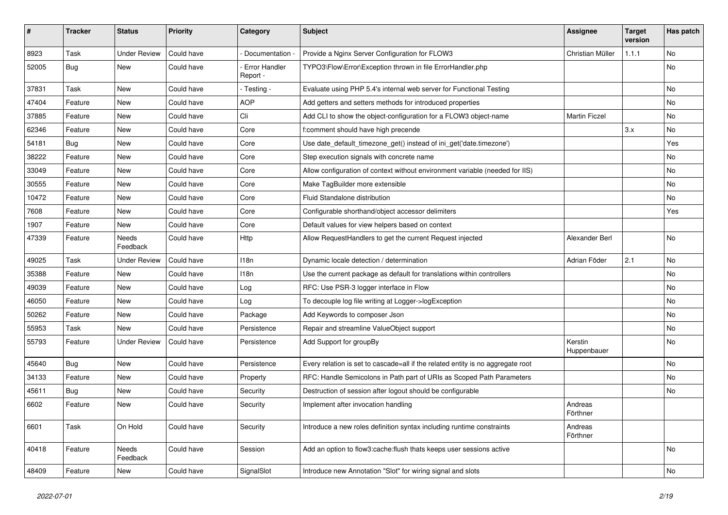| $\sharp$ | <b>Tracker</b> | <b>Status</b>       | <b>Priority</b> | Category                         | Subject                                                                         | <b>Assignee</b>        | <b>Target</b><br>version | Has patch |
|----------|----------------|---------------------|-----------------|----------------------------------|---------------------------------------------------------------------------------|------------------------|--------------------------|-----------|
| 8923     | Task           | <b>Under Review</b> | Could have      | Documentation -                  | Provide a Nginx Server Configuration for FLOW3                                  | Christian Müller       | 1.1.1                    | No        |
| 52005    | <b>Bug</b>     | New                 | Could have      | <b>Error Handler</b><br>Report - | TYPO3\Flow\Error\Exception thrown in file ErrorHandler.php                      |                        |                          | No        |
| 37831    | Task           | New                 | Could have      | - Testing -                      | Evaluate using PHP 5.4's internal web server for Functional Testing             |                        |                          | No        |
| 47404    | Feature        | New                 | Could have      | <b>AOP</b>                       | Add getters and setters methods for introduced properties                       |                        |                          | No        |
| 37885    | Feature        | New                 | Could have      | Cli                              | Add CLI to show the object-configuration for a FLOW3 object-name                | <b>Martin Ficzel</b>   |                          | No.       |
| 62346    | Feature        | New                 | Could have      | Core                             | f:comment should have high precende                                             |                        | 3.x                      | No        |
| 54181    | <b>Bug</b>     | New                 | Could have      | Core                             | Use date_default_timezone_get() instead of ini_get('date.timezone')             |                        |                          | Yes       |
| 38222    | Feature        | New                 | Could have      | Core                             | Step execution signals with concrete name                                       |                        |                          | No        |
| 33049    | Feature        | New                 | Could have      | Core                             | Allow configuration of context without environment variable (needed for IIS)    |                        |                          | No        |
| 30555    | Feature        | New                 | Could have      | Core                             | Make TagBuilder more extensible                                                 |                        |                          | No        |
| 10472    | Feature        | New                 | Could have      | Core                             | Fluid Standalone distribution                                                   |                        |                          | No        |
| 7608     | Feature        | New                 | Could have      | Core                             | Configurable shorthand/object accessor delimiters                               |                        |                          | Yes       |
| 1907     | Feature        | New                 | Could have      | Core                             | Default values for view helpers based on context                                |                        |                          |           |
| 47339    | Feature        | Needs<br>Feedback   | Could have      | <b>Http</b>                      | Allow RequestHandlers to get the current Request injected                       | Alexander Berl         |                          | No        |
| 49025    | Task           | <b>Under Review</b> | Could have      | 118n                             | Dynamic locale detection / determination                                        | Adrian Föder           | 2.1                      | No        |
| 35388    | Feature        | New                 | Could have      | 118n                             | Use the current package as default for translations within controllers          |                        |                          | No        |
| 49039    | Feature        | New                 | Could have      | Log                              | RFC: Use PSR-3 logger interface in Flow                                         |                        |                          | No        |
| 46050    | Feature        | New                 | Could have      | Log                              | To decouple log file writing at Logger->logException                            |                        |                          | No        |
| 50262    | Feature        | New                 | Could have      | Package                          | Add Keywords to composer Json                                                   |                        |                          | No        |
| 55953    | Task           | New                 | Could have      | Persistence                      | Repair and streamline ValueObject support                                       |                        |                          | No        |
| 55793    | Feature        | <b>Under Review</b> | Could have      | Persistence                      | Add Support for groupBy                                                         | Kerstin<br>Huppenbauer |                          | No        |
| 45640    | Bug            | New                 | Could have      | Persistence                      | Every relation is set to cascade=all if the related entity is no aggregate root |                        |                          | No        |
| 34133    | Feature        | New                 | Could have      | Property                         | RFC: Handle Semicolons in Path part of URIs as Scoped Path Parameters           |                        |                          | No        |
| 45611    | <b>Bug</b>     | New                 | Could have      | Security                         | Destruction of session after logout should be configurable                      |                        |                          | No        |
| 6602     | Feature        | New                 | Could have      | Security                         | Implement after invocation handling                                             | Andreas<br>Förthner    |                          |           |
| 6601     | Task           | On Hold             | Could have      | Security                         | Introduce a new roles definition syntax including runtime constraints           | Andreas<br>Förthner    |                          |           |
| 40418    | Feature        | Needs<br>Feedback   | Could have      | Session                          | Add an option to flow3:cache:flush thats keeps user sessions active             |                        |                          | No        |
| 48409    | Feature        | New                 | Could have      | SignalSlot                       | Introduce new Annotation "Slot" for wiring signal and slots                     |                        |                          | No        |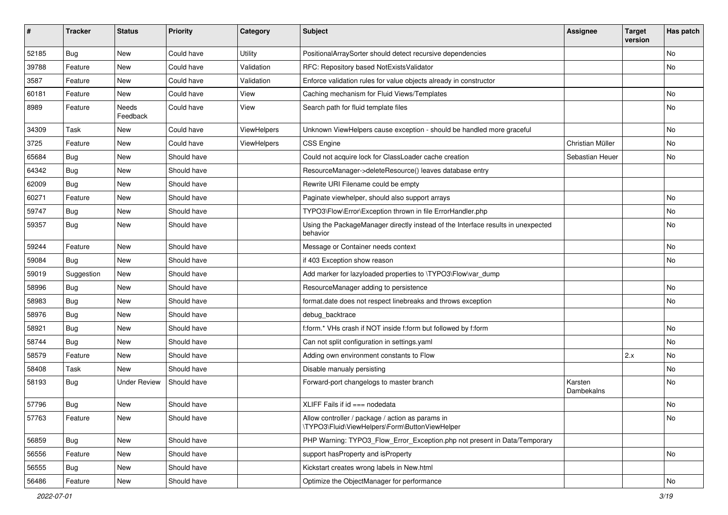| ∦     | <b>Tracker</b> | <b>Status</b>       | Priority    | Category           | Subject                                                                                            | <b>Assignee</b>       | <b>Target</b><br>version | Has patch |
|-------|----------------|---------------------|-------------|--------------------|----------------------------------------------------------------------------------------------------|-----------------------|--------------------------|-----------|
| 52185 | <b>Bug</b>     | New                 | Could have  | Utility            | PositionalArraySorter should detect recursive dependencies                                         |                       |                          | <b>No</b> |
| 39788 | Feature        | New                 | Could have  | Validation         | RFC: Repository based NotExistsValidator                                                           |                       |                          | No        |
| 3587  | Feature        | New                 | Could have  | Validation         | Enforce validation rules for value objects already in constructor                                  |                       |                          |           |
| 60181 | Feature        | <b>New</b>          | Could have  | View               | Caching mechanism for Fluid Views/Templates                                                        |                       |                          | <b>No</b> |
| 8989  | Feature        | Needs<br>Feedback   | Could have  | View               | Search path for fluid template files                                                               |                       |                          | No        |
| 34309 | Task           | New                 | Could have  | <b>ViewHelpers</b> | Unknown ViewHelpers cause exception - should be handled more graceful                              |                       |                          | No        |
| 3725  | Feature        | New                 | Could have  | <b>ViewHelpers</b> | <b>CSS Engine</b>                                                                                  | Christian Müller      |                          | <b>No</b> |
| 65684 | <b>Bug</b>     | New                 | Should have |                    | Could not acquire lock for ClassLoader cache creation                                              | Sebastian Heuer       |                          | No        |
| 64342 | Bug            | New                 | Should have |                    | ResourceManager->deleteResource() leaves database entry                                            |                       |                          |           |
| 62009 | Bug            | New                 | Should have |                    | Rewrite URI Filename could be empty                                                                |                       |                          |           |
| 60271 | Feature        | <b>New</b>          | Should have |                    | Paginate viewhelper, should also support arrays                                                    |                       |                          | <b>No</b> |
| 59747 | Bug            | New                 | Should have |                    | TYPO3\Flow\Error\Exception thrown in file ErrorHandler.php                                         |                       |                          | No        |
| 59357 | <b>Bug</b>     | <b>New</b>          | Should have |                    | Using the PackageManager directly instead of the Interface results in unexpected<br>behavior       |                       |                          | <b>No</b> |
| 59244 | Feature        | New                 | Should have |                    | Message or Container needs context                                                                 |                       |                          | <b>No</b> |
| 59084 | <b>Bug</b>     | New                 | Should have |                    | if 403 Exception show reason                                                                       |                       |                          | No        |
| 59019 | Suggestion     | New                 | Should have |                    | Add marker for lazyloaded properties to \TYPO3\Flow\var dump                                       |                       |                          |           |
| 58996 | Bug            | New                 | Should have |                    | ResourceManager adding to persistence                                                              |                       |                          | <b>No</b> |
| 58983 | Bug            | New                 | Should have |                    | format.date does not respect linebreaks and throws exception                                       |                       |                          | No        |
| 58976 | Bug            | New                 | Should have |                    | debug_backtrace                                                                                    |                       |                          |           |
| 58921 | <b>Bug</b>     | New                 | Should have |                    | f:form.* VHs crash if NOT inside f:form but followed by f:form                                     |                       |                          | No        |
| 58744 | <b>Bug</b>     | New                 | Should have |                    | Can not split configuration in settings.yaml                                                       |                       |                          | No        |
| 58579 | Feature        | New                 | Should have |                    | Adding own environment constants to Flow                                                           |                       | 2.x                      | No        |
| 58408 | Task           | New                 | Should have |                    | Disable manualy persisting                                                                         |                       |                          | <b>No</b> |
| 58193 | <b>Bug</b>     | <b>Under Review</b> | Should have |                    | Forward-port changelogs to master branch                                                           | Karsten<br>Dambekalns |                          | <b>No</b> |
| 57796 | <b>Bug</b>     | New                 | Should have |                    | XLIFF Fails if $id == node$                                                                        |                       |                          | No        |
| 57763 | Feature        | New                 | Should have |                    | Allow controller / package / action as params in<br>\TYPO3\Fluid\ViewHelpers\Form\ButtonViewHelper |                       |                          | No        |
| 56859 | <b>Bug</b>     | New                 | Should have |                    | PHP Warning: TYPO3_Flow_Error_Exception.php not present in Data/Temporary                          |                       |                          |           |
| 56556 | Feature        | New                 | Should have |                    | support hasProperty and isProperty                                                                 |                       |                          | No        |
| 56555 | <b>Bug</b>     | New                 | Should have |                    | Kickstart creates wrong labels in New.html                                                         |                       |                          |           |
| 56486 | Feature        | New                 | Should have |                    | Optimize the ObjectManager for performance                                                         |                       |                          | No        |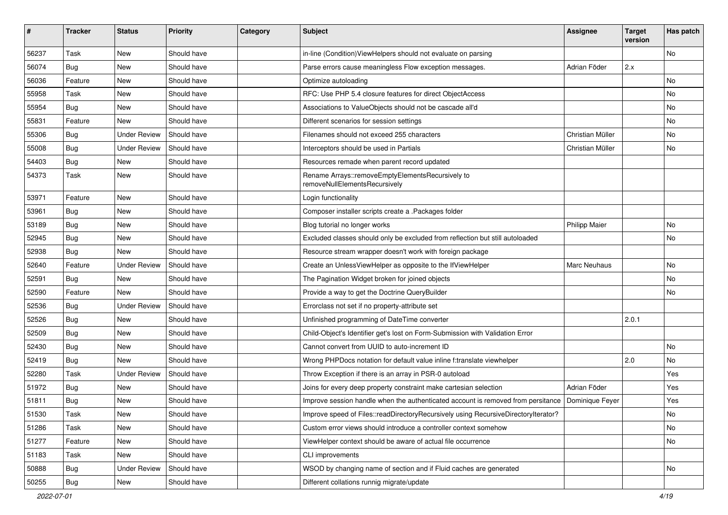| #     | <b>Tracker</b> | <b>Status</b>       | <b>Priority</b> | Category | Subject                                                                            | <b>Assignee</b>      | <b>Target</b><br>version | Has patch |
|-------|----------------|---------------------|-----------------|----------|------------------------------------------------------------------------------------|----------------------|--------------------------|-----------|
| 56237 | Task           | New                 | Should have     |          | in-line (Condition) ViewHelpers should not evaluate on parsing                     |                      |                          | No.       |
| 56074 | <b>Bug</b>     | New                 | Should have     |          | Parse errors cause meaningless Flow exception messages.                            | Adrian Föder         | 2.x                      |           |
| 56036 | Feature        | New                 | Should have     |          | Optimize autoloading                                                               |                      |                          | No.       |
| 55958 | Task           | New                 | Should have     |          | RFC: Use PHP 5.4 closure features for direct ObjectAccess                          |                      |                          | No        |
| 55954 | <b>Bug</b>     | New                 | Should have     |          | Associations to ValueObjects should not be cascade all'd                           |                      |                          | No        |
| 55831 | Feature        | New                 | Should have     |          | Different scenarios for session settings                                           |                      |                          | No.       |
| 55306 | <b>Bug</b>     | <b>Under Review</b> | Should have     |          | Filenames should not exceed 255 characters                                         | Christian Müller     |                          | No        |
| 55008 | <b>Bug</b>     | Under Review        | Should have     |          | Interceptors should be used in Partials                                            | Christian Müller     |                          | No        |
| 54403 | Bug            | New                 | Should have     |          | Resources remade when parent record updated                                        |                      |                          |           |
| 54373 | Task           | New                 | Should have     |          | Rename Arrays::removeEmptyElementsRecursively to<br>removeNullElementsRecursively  |                      |                          |           |
| 53971 | Feature        | New                 | Should have     |          | Login functionality                                                                |                      |                          |           |
| 53961 | <b>Bug</b>     | New                 | Should have     |          | Composer installer scripts create a .Packages folder                               |                      |                          |           |
| 53189 | <b>Bug</b>     | New                 | Should have     |          | Blog tutorial no longer works                                                      | <b>Philipp Maier</b> |                          | No        |
| 52945 | <b>Bug</b>     | New                 | Should have     |          | Excluded classes should only be excluded from reflection but still autoloaded      |                      |                          | No        |
| 52938 | <b>Bug</b>     | New                 | Should have     |          | Resource stream wrapper doesn't work with foreign package                          |                      |                          |           |
| 52640 | Feature        | <b>Under Review</b> | Should have     |          | Create an UnlessViewHelper as opposite to the IfViewHelper                         | <b>Marc Neuhaus</b>  |                          | No        |
| 52591 | <b>Bug</b>     | New                 | Should have     |          | The Pagination Widget broken for joined objects                                    |                      |                          | No        |
| 52590 | Feature        | New                 | Should have     |          | Provide a way to get the Doctrine QueryBuilder                                     |                      |                          | No        |
| 52536 | Bug            | <b>Under Review</b> | Should have     |          | Errorclass not set if no property-attribute set                                    |                      |                          |           |
| 52526 | <b>Bug</b>     | New                 | Should have     |          | Unfinished programming of DateTime converter                                       |                      | 2.0.1                    |           |
| 52509 | Bug            | New                 | Should have     |          | Child-Object's Identifier get's lost on Form-Submission with Validation Error      |                      |                          |           |
| 52430 | <b>Bug</b>     | New                 | Should have     |          | Cannot convert from UUID to auto-increment ID                                      |                      |                          | No.       |
| 52419 | <b>Bug</b>     | New                 | Should have     |          | Wrong PHPDocs notation for default value inline f:translate viewhelper             |                      | 2.0                      | No        |
| 52280 | Task           | <b>Under Review</b> | Should have     |          | Throw Exception if there is an array in PSR-0 autoload                             |                      |                          | Yes       |
| 51972 | <b>Bug</b>     | New                 | Should have     |          | Joins for every deep property constraint make cartesian selection                  | Adrian Föder         |                          | Yes       |
| 51811 | <b>Bug</b>     | New                 | Should have     |          | Improve session handle when the authenticated account is removed from persitance   | Dominique Feyer      |                          | Yes       |
| 51530 | Task           | New                 | Should have     |          | Improve speed of Files::readDirectoryRecursively using RecursiveDirectoryIterator? |                      |                          | No        |
| 51286 | Task           | New                 | Should have     |          | Custom error views should introduce a controller context somehow                   |                      |                          | No        |
| 51277 | Feature        | New                 | Should have     |          | ViewHelper context should be aware of actual file occurrence                       |                      |                          | No        |
| 51183 | Task           | New                 | Should have     |          | CLI improvements                                                                   |                      |                          |           |
| 50888 | Bug            | <b>Under Review</b> | Should have     |          | WSOD by changing name of section and if Fluid caches are generated                 |                      |                          | No        |
| 50255 | <b>Bug</b>     | New                 | Should have     |          | Different collations runnig migrate/update                                         |                      |                          |           |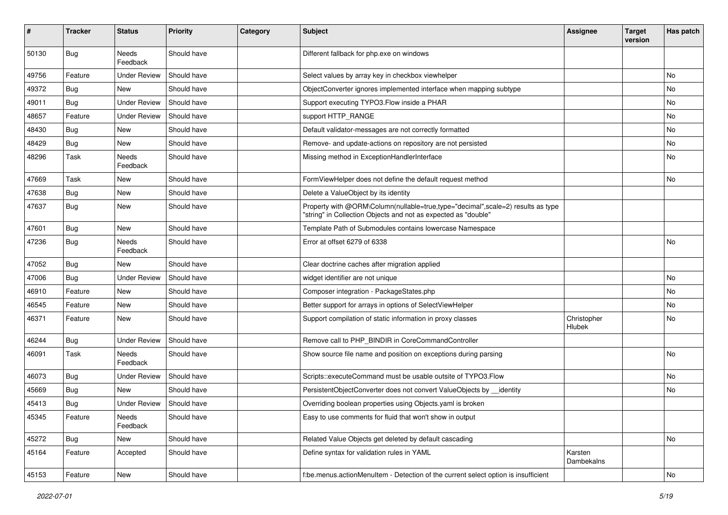| ∦     | <b>Tracker</b> | <b>Status</b>       | <b>Priority</b> | Category | <b>Subject</b>                                                                                                                                    | <b>Assignee</b>       | <b>Target</b><br>version | Has patch |
|-------|----------------|---------------------|-----------------|----------|---------------------------------------------------------------------------------------------------------------------------------------------------|-----------------------|--------------------------|-----------|
| 50130 | Bug            | Needs<br>Feedback   | Should have     |          | Different fallback for php.exe on windows                                                                                                         |                       |                          |           |
| 49756 | Feature        | <b>Under Review</b> | Should have     |          | Select values by array key in checkbox viewhelper                                                                                                 |                       |                          | <b>No</b> |
| 49372 | Bug            | <b>New</b>          | Should have     |          | ObjectConverter ignores implemented interface when mapping subtype                                                                                |                       |                          | No        |
| 49011 | <b>Bug</b>     | <b>Under Review</b> | Should have     |          | Support executing TYPO3. Flow inside a PHAR                                                                                                       |                       |                          | No        |
| 48657 | Feature        | <b>Under Review</b> | Should have     |          | support HTTP_RANGE                                                                                                                                |                       |                          | <b>No</b> |
| 48430 | Bug            | New                 | Should have     |          | Default validator-messages are not correctly formatted                                                                                            |                       |                          | No        |
| 48429 | <b>Bug</b>     | New                 | Should have     |          | Remove- and update-actions on repository are not persisted                                                                                        |                       |                          | No        |
| 48296 | Task           | Needs<br>Feedback   | Should have     |          | Missing method in ExceptionHandlerInterface                                                                                                       |                       |                          | No        |
| 47669 | Task           | New                 | Should have     |          | FormViewHelper does not define the default request method                                                                                         |                       |                          | No        |
| 47638 | <b>Bug</b>     | <b>New</b>          | Should have     |          | Delete a ValueObject by its identity                                                                                                              |                       |                          |           |
| 47637 | <b>Bug</b>     | New                 | Should have     |          | Property with @ORM\Column(nullable=true,type="decimal",scale=2) results as type<br>"string" in Collection Objects and not as expected as "double" |                       |                          |           |
| 47601 | Bug            | New                 | Should have     |          | Template Path of Submodules contains lowercase Namespace                                                                                          |                       |                          |           |
| 47236 | <b>Bug</b>     | Needs<br>Feedback   | Should have     |          | Error at offset 6279 of 6338                                                                                                                      |                       |                          | No        |
| 47052 | Bug            | <b>New</b>          | Should have     |          | Clear doctrine caches after migration applied                                                                                                     |                       |                          |           |
| 47006 | Bug            | <b>Under Review</b> | Should have     |          | widget identifier are not unique                                                                                                                  |                       |                          | No        |
| 46910 | Feature        | <b>New</b>          | Should have     |          | Composer integration - PackageStates.php                                                                                                          |                       |                          | No        |
| 46545 | Feature        | New                 | Should have     |          | Better support for arrays in options of SelectViewHelper                                                                                          |                       |                          | No        |
| 46371 | Feature        | <b>New</b>          | Should have     |          | Support compilation of static information in proxy classes                                                                                        | Christopher<br>Hlubek |                          | <b>No</b> |
| 46244 | Bug            | <b>Under Review</b> | Should have     |          | Remove call to PHP_BINDIR in CoreCommandController                                                                                                |                       |                          |           |
| 46091 | Task           | Needs<br>Feedback   | Should have     |          | Show source file name and position on exceptions during parsing                                                                                   |                       |                          | No        |
| 46073 | Bug            | <b>Under Review</b> | Should have     |          | Scripts::executeCommand must be usable outsite of TYPO3.Flow                                                                                      |                       |                          | No        |
| 45669 | <b>Bug</b>     | <b>New</b>          | Should have     |          | PersistentObjectConverter does not convert ValueObjects by __identity                                                                             |                       |                          | No        |
| 45413 | <b>Bug</b>     | <b>Under Review</b> | Should have     |          | Overriding boolean properties using Objects.yaml is broken                                                                                        |                       |                          |           |
| 45345 | Feature        | Needs<br>Feedback   | Should have     |          | Easy to use comments for fluid that won't show in output                                                                                          |                       |                          |           |
| 45272 | <b>Bug</b>     | New                 | Should have     |          | Related Value Objects get deleted by default cascading                                                                                            |                       |                          | No        |
| 45164 | Feature        | Accepted            | Should have     |          | Define syntax for validation rules in YAML                                                                                                        | Karsten<br>Dambekalns |                          |           |
| 45153 | Feature        | New                 | Should have     |          | f:be.menus.actionMenuItem - Detection of the current select option is insufficient                                                                |                       |                          | No        |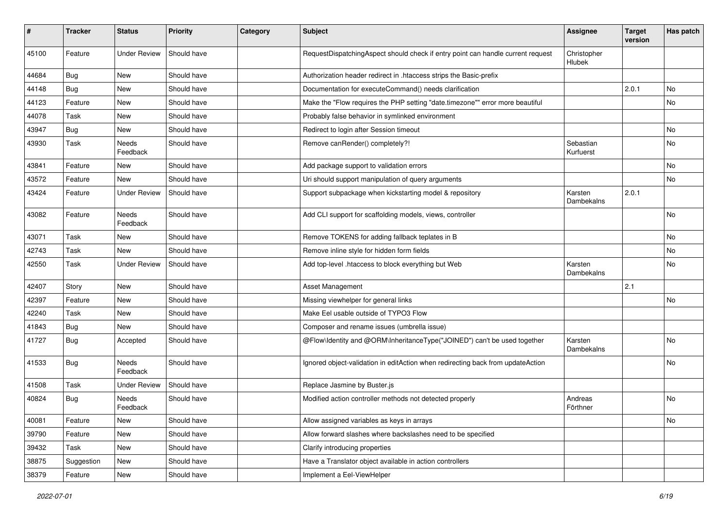| #     | <b>Tracker</b> | <b>Status</b>       | <b>Priority</b> | Category | <b>Subject</b>                                                                  | <b>Assignee</b>        | <b>Target</b><br>version | Has patch |
|-------|----------------|---------------------|-----------------|----------|---------------------------------------------------------------------------------|------------------------|--------------------------|-----------|
| 45100 | Feature        | <b>Under Review</b> | Should have     |          | RequestDispatchingAspect should check if entry point can handle current request | Christopher<br>Hlubek  |                          |           |
| 44684 | Bug            | <b>New</b>          | Should have     |          | Authorization header redirect in .htaccess strips the Basic-prefix              |                        |                          |           |
| 44148 | <b>Bug</b>     | New                 | Should have     |          | Documentation for executeCommand() needs clarification                          |                        | 2.0.1                    | No.       |
| 44123 | Feature        | New                 | Should have     |          | Make the "Flow requires the PHP setting "date.timezone"" error more beautiful   |                        |                          | No        |
| 44078 | Task           | <b>New</b>          | Should have     |          | Probably false behavior in symlinked environment                                |                        |                          |           |
| 43947 | <b>Bug</b>     | New                 | Should have     |          | Redirect to login after Session timeout                                         |                        |                          | No        |
| 43930 | Task           | Needs<br>Feedback   | Should have     |          | Remove canRender() completely?!                                                 | Sebastian<br>Kurfuerst |                          | No.       |
| 43841 | Feature        | New                 | Should have     |          | Add package support to validation errors                                        |                        |                          | <b>No</b> |
| 43572 | Feature        | New                 | Should have     |          | Uri should support manipulation of query arguments                              |                        |                          | No        |
| 43424 | Feature        | <b>Under Review</b> | Should have     |          | Support subpackage when kickstarting model & repository                         | Karsten<br>Dambekalns  | 2.0.1                    |           |
| 43082 | Feature        | Needs<br>Feedback   | Should have     |          | Add CLI support for scaffolding models, views, controller                       |                        |                          | <b>No</b> |
| 43071 | Task           | <b>New</b>          | Should have     |          | Remove TOKENS for adding fallback teplates in B                                 |                        |                          | No.       |
| 42743 | Task           | <b>New</b>          | Should have     |          | Remove inline style for hidden form fields                                      |                        |                          | No        |
| 42550 | Task           | <b>Under Review</b> | Should have     |          | Add top-level .htaccess to block everything but Web                             | Karsten<br>Dambekalns  |                          | No.       |
| 42407 | Story          | New                 | Should have     |          | Asset Management                                                                |                        | 2.1                      |           |
| 42397 | Feature        | New                 | Should have     |          | Missing viewhelper for general links                                            |                        |                          | No        |
| 42240 | Task           | <b>New</b>          | Should have     |          | Make Eel usable outside of TYPO3 Flow                                           |                        |                          |           |
| 41843 | <b>Bug</b>     | New                 | Should have     |          | Composer and rename issues (umbrella issue)                                     |                        |                          |           |
| 41727 | <b>Bug</b>     | Accepted            | Should have     |          | @Flow\Identity and @ORM\InheritanceType("JOINED") can't be used together        | Karsten<br>Dambekalns  |                          | <b>No</b> |
| 41533 | Bug            | Needs<br>Feedback   | Should have     |          | Ignored object-validation in editAction when redirecting back from updateAction |                        |                          | No.       |
| 41508 | Task           | <b>Under Review</b> | Should have     |          | Replace Jasmine by Buster.js                                                    |                        |                          |           |
| 40824 | Bug            | Needs<br>Feedback   | Should have     |          | Modified action controller methods not detected properly                        | Andreas<br>Förthner    |                          | No.       |
| 40081 | Feature        | New                 | Should have     |          | Allow assigned variables as keys in arrays                                      |                        |                          | No        |
| 39790 | Feature        | New                 | Should have     |          | Allow forward slashes where backslashes need to be specified                    |                        |                          |           |
| 39432 | Task           | New                 | Should have     |          | Clarify introducing properties                                                  |                        |                          |           |
| 38875 | Suggestion     | New                 | Should have     |          | Have a Translator object available in action controllers                        |                        |                          |           |
| 38379 | Feature        | New                 | Should have     |          | Implement a Eel-ViewHelper                                                      |                        |                          |           |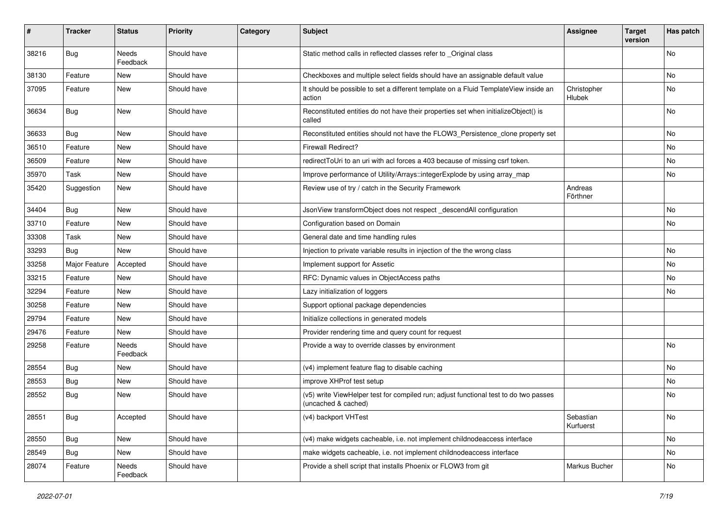| #     | <b>Tracker</b> | <b>Status</b>     | <b>Priority</b> | Category | Subject                                                                                                     | <b>Assignee</b>        | <b>Target</b><br>version | Has patch |
|-------|----------------|-------------------|-----------------|----------|-------------------------------------------------------------------------------------------------------------|------------------------|--------------------------|-----------|
| 38216 | Bug            | Needs<br>Feedback | Should have     |          | Static method calls in reflected classes refer to _Original class                                           |                        |                          | No        |
| 38130 | Feature        | New               | Should have     |          | Checkboxes and multiple select fields should have an assignable default value                               |                        |                          | No        |
| 37095 | Feature        | New               | Should have     |          | It should be possible to set a different template on a Fluid TemplateView inside an<br>action               | Christopher<br>Hlubek  |                          | No        |
| 36634 | Bug            | New               | Should have     |          | Reconstituted entities do not have their properties set when initializeObject() is<br>called                |                        |                          | No.       |
| 36633 | Bug            | New               | Should have     |          | Reconstituted entities should not have the FLOW3_Persistence_clone property set                             |                        |                          | No        |
| 36510 | Feature        | New               | Should have     |          | <b>Firewall Redirect?</b>                                                                                   |                        |                          | No        |
| 36509 | Feature        | New               | Should have     |          | redirectToUri to an uri with acl forces a 403 because of missing csrf token.                                |                        |                          | No        |
| 35970 | Task           | New               | Should have     |          | Improve performance of Utility/Arrays::integerExplode by using array_map                                    |                        |                          | No        |
| 35420 | Suggestion     | New               | Should have     |          | Review use of try / catch in the Security Framework                                                         | Andreas<br>Förthner    |                          |           |
| 34404 | Bug            | New               | Should have     |          | JsonView transformObject does not respect_descendAll configuration                                          |                        |                          | No        |
| 33710 | Feature        | New               | Should have     |          | Configuration based on Domain                                                                               |                        |                          | No        |
| 33308 | Task           | New               | Should have     |          | General date and time handling rules                                                                        |                        |                          |           |
| 33293 | Bug            | New               | Should have     |          | Injection to private variable results in injection of the the wrong class                                   |                        |                          | No        |
| 33258 | Major Feature  | Accepted          | Should have     |          | Implement support for Assetic                                                                               |                        |                          | No        |
| 33215 | Feature        | New               | Should have     |          | RFC: Dynamic values in ObjectAccess paths                                                                   |                        |                          | No        |
| 32294 | Feature        | New               | Should have     |          | Lazy initialization of loggers                                                                              |                        |                          | No        |
| 30258 | Feature        | New               | Should have     |          | Support optional package dependencies                                                                       |                        |                          |           |
| 29794 | Feature        | New               | Should have     |          | Initialize collections in generated models                                                                  |                        |                          |           |
| 29476 | Feature        | New               | Should have     |          | Provider rendering time and query count for request                                                         |                        |                          |           |
| 29258 | Feature        | Needs<br>Feedback | Should have     |          | Provide a way to override classes by environment                                                            |                        |                          | No        |
| 28554 | <b>Bug</b>     | New               | Should have     |          | (v4) implement feature flag to disable caching                                                              |                        |                          | No        |
| 28553 | <b>Bug</b>     | New               | Should have     |          | improve XHProf test setup                                                                                   |                        |                          | No        |
| 28552 | <b>Bug</b>     | New               | Should have     |          | (v5) write ViewHelper test for compiled run; adjust functional test to do two passes<br>(uncached & cached) |                        |                          | No        |
| 28551 | <b>Bug</b>     | Accepted          | Should have     |          | (v4) backport VHTest                                                                                        | Sebastian<br>Kurfuerst |                          | No        |
| 28550 | <b>Bug</b>     | New               | Should have     |          | (v4) make widgets cacheable, i.e. not implement childnodeaccess interface                                   |                        |                          | No        |
| 28549 | <b>Bug</b>     | New               | Should have     |          | make widgets cacheable, i.e. not implement childnodeaccess interface                                        |                        |                          | No        |
| 28074 | Feature        | Needs<br>Feedback | Should have     |          | Provide a shell script that installs Phoenix or FLOW3 from git                                              | Markus Bucher          |                          | No        |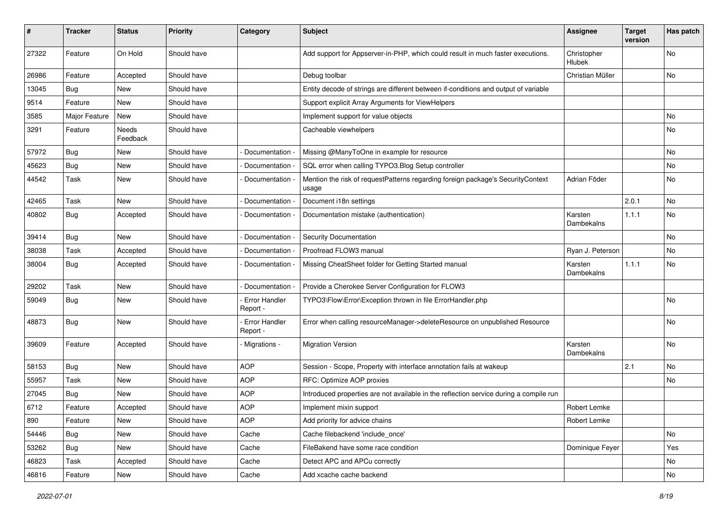| #     | <b>Tracker</b> | <b>Status</b>     | <b>Priority</b> | Category                         | Subject                                                                                  | <b>Assignee</b>              | <b>Target</b><br>version | Has patch |
|-------|----------------|-------------------|-----------------|----------------------------------|------------------------------------------------------------------------------------------|------------------------------|--------------------------|-----------|
| 27322 | Feature        | On Hold           | Should have     |                                  | Add support for Appserver-in-PHP, which could result in much faster executions.          | Christopher<br><b>Hlubek</b> |                          | No        |
| 26986 | Feature        | Accepted          | Should have     |                                  | Debug toolbar                                                                            | Christian Müller             |                          | No        |
| 13045 | Bug            | <b>New</b>        | Should have     |                                  | Entity decode of strings are different between if-conditions and output of variable      |                              |                          |           |
| 9514  | Feature        | New               | Should have     |                                  | Support explicit Array Arguments for ViewHelpers                                         |                              |                          |           |
| 3585  | Major Feature  | New               | Should have     |                                  | Implement support for value objects                                                      |                              |                          | No.       |
| 3291  | Feature        | Needs<br>Feedback | Should have     |                                  | Cacheable viewhelpers                                                                    |                              |                          | No        |
| 57972 | <b>Bug</b>     | New               | Should have     | Documentation -                  | Missing @ManyToOne in example for resource                                               |                              |                          | No        |
| 45623 | <b>Bug</b>     | New               | Should have     | Documentation -                  | SQL error when calling TYPO3.Blog Setup controller                                       |                              |                          | No.       |
| 44542 | Task           | New               | Should have     | Documentation -                  | Mention the risk of requestPatterns regarding foreign package's SecurityContext<br>usage | Adrian Föder                 |                          | No        |
| 42465 | Task           | New               | Should have     | Documentation -                  | Document i18n settings                                                                   |                              | 2.0.1                    | No        |
| 40802 | <b>Bug</b>     | Accepted          | Should have     | Documentation -                  | Documentation mistake (authentication)                                                   | Karsten<br>Dambekalns        | 1.1.1                    | <b>No</b> |
| 39414 | <b>Bug</b>     | New               | Should have     | Documentation -                  | <b>Security Documentation</b>                                                            |                              |                          | <b>No</b> |
| 38038 | Task           | Accepted          | Should have     | Documentation -                  | Proofread FLOW3 manual                                                                   | Ryan J. Peterson             |                          | No        |
| 38004 | Bug            | Accepted          | Should have     | Documentation -                  | Missing CheatSheet folder for Getting Started manual                                     | Karsten<br>Dambekalns        | 1.1.1                    | No        |
| 29202 | Task           | New               | Should have     | Documentation -                  | Provide a Cherokee Server Configuration for FLOW3                                        |                              |                          |           |
| 59049 | <b>Bug</b>     | New               | Should have     | Error Handler<br>Report -        | TYPO3\Flow\Error\Exception thrown in file ErrorHandler.php                               |                              |                          | No        |
| 48873 | Bug            | New               | Should have     | <b>Error Handler</b><br>Report - | Error when calling resourceManager->deleteResource on unpublished Resource               |                              |                          | No        |
| 39609 | Feature        | Accepted          | Should have     | Migrations -                     | <b>Migration Version</b>                                                                 | Karsten<br>Dambekalns        |                          | No.       |
| 58153 | <b>Bug</b>     | New               | Should have     | <b>AOP</b>                       | Session - Scope, Property with interface annotation fails at wakeup                      |                              | 2.1                      | No        |
| 55957 | Task           | New               | Should have     | <b>AOP</b>                       | RFC: Optimize AOP proxies                                                                |                              |                          | No        |
| 27045 | <b>Bug</b>     | New               | Should have     | <b>AOP</b>                       | Introduced properties are not available in the reflection service during a compile run   |                              |                          |           |
| 6712  | Feature        | Accepted          | Should have     | <b>AOP</b>                       | Implement mixin support                                                                  | Robert Lemke                 |                          |           |
| 890   | Feature        | New               | Should have     | <b>AOP</b>                       | Add priority for advice chains                                                           | Robert Lemke                 |                          |           |
| 54446 | Bug            | New               | Should have     | Cache                            | Cache filebackend 'include_once'                                                         |                              |                          | No        |
| 53262 | Bug            | New               | Should have     | Cache                            | FileBakend have some race condition                                                      | Dominique Feyer              |                          | Yes       |
| 46823 | Task           | Accepted          | Should have     | Cache                            | Detect APC and APCu correctly                                                            |                              |                          | No        |
| 46816 | Feature        | New               | Should have     | Cache                            | Add xcache cache backend                                                                 |                              |                          | No        |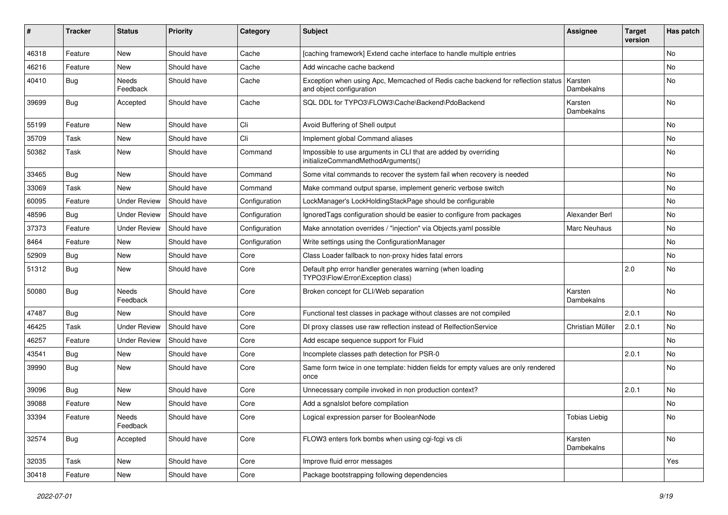| ∦     | <b>Tracker</b> | <b>Status</b>            | Priority    | Category      | Subject                                                                                                      | <b>Assignee</b>       | <b>Target</b><br>version | Has patch      |
|-------|----------------|--------------------------|-------------|---------------|--------------------------------------------------------------------------------------------------------------|-----------------------|--------------------------|----------------|
| 46318 | Feature        | New                      | Should have | Cache         | [caching framework] Extend cache interface to handle multiple entries                                        |                       |                          | <b>No</b>      |
| 46216 | Feature        | <b>New</b>               | Should have | Cache         | Add wincache cache backend                                                                                   |                       |                          | No             |
| 40410 | <b>Bug</b>     | Needs<br>Feedback        | Should have | Cache         | Exception when using Apc, Memcached of Redis cache backend for reflection status<br>and object configuration | Karsten<br>Dambekalns |                          | <b>No</b>      |
| 39699 | Bug            | Accepted                 | Should have | Cache         | SQL DDL for TYPO3\FLOW3\Cache\Backend\PdoBackend                                                             | Karsten<br>Dambekalns |                          | <b>No</b>      |
| 55199 | Feature        | <b>New</b>               | Should have | Cli           | Avoid Buffering of Shell output                                                                              |                       |                          | <b>No</b>      |
| 35709 | Task           | New                      | Should have | Cli           | Implement global Command aliases                                                                             |                       |                          | No             |
| 50382 | Task           | <b>New</b>               | Should have | Command       | Impossible to use arguments in CLI that are added by overriding<br>initializeCommandMethodArguments()        |                       |                          | <b>No</b>      |
| 33465 | <b>Bug</b>     | <b>New</b>               | Should have | Command       | Some vital commands to recover the system fail when recovery is needed                                       |                       |                          | <b>No</b>      |
| 33069 | Task           | <b>New</b>               | Should have | Command       | Make command output sparse, implement generic verbose switch                                                 |                       |                          | <b>No</b>      |
| 60095 | Feature        | <b>Under Review</b>      | Should have | Configuration | LockManager's LockHoldingStackPage should be configurable                                                    |                       |                          | <b>No</b>      |
| 48596 | Bug            | <b>Under Review</b>      | Should have | Configuration | Ignored Tags configuration should be easier to configure from packages                                       | Alexander Berl        |                          | <b>No</b>      |
| 37373 | Feature        | <b>Under Review</b>      | Should have | Configuration | Make annotation overrides / "injection" via Objects.yaml possible                                            | <b>Marc Neuhaus</b>   |                          | No             |
| 8464  | Feature        | <b>New</b>               | Should have | Configuration | Write settings using the ConfigurationManager                                                                |                       |                          | <b>No</b>      |
| 52909 | Bug            | New                      | Should have | Core          | Class Loader fallback to non-proxy hides fatal errors                                                        |                       |                          | <b>No</b>      |
| 51312 | <b>Bug</b>     | New                      | Should have | Core          | Default php error handler generates warning (when loading<br>TYPO3\Flow\Error\Exception class)               |                       | 2.0                      | <b>No</b>      |
| 50080 | Bug            | <b>Needs</b><br>Feedback | Should have | Core          | Broken concept for CLI/Web separation                                                                        | Karsten<br>Dambekalns |                          | N <sub>o</sub> |
| 47487 | Bug            | New                      | Should have | Core          | Functional test classes in package without classes are not compiled                                          |                       | 2.0.1                    | <b>No</b>      |
| 46425 | Task           | <b>Under Review</b>      | Should have | Core          | DI proxy classes use raw reflection instead of RelfectionService                                             | Christian Müller      | 2.0.1                    | <b>No</b>      |
| 46257 | Feature        | <b>Under Review</b>      | Should have | Core          | Add escape sequence support for Fluid                                                                        |                       |                          | <b>No</b>      |
| 43541 | Bug            | New                      | Should have | Core          | Incomplete classes path detection for PSR-0                                                                  |                       | 2.0.1                    | <b>No</b>      |
| 39990 | <b>Bug</b>     | New                      | Should have | Core          | Same form twice in one template: hidden fields for empty values are only rendered<br>once                    |                       |                          | <b>No</b>      |
| 39096 | Bug            | <b>New</b>               | Should have | Core          | Unnecessary compile invoked in non production context?                                                       |                       | 2.0.1                    | <b>No</b>      |
| 39088 | Feature        | New                      | Should have | Core          | Add a sgnalslot before compilation                                                                           |                       |                          | No             |
| 33394 | Feature        | Needs<br>Feedback        | Should have | Core          | Logical expression parser for BooleanNode                                                                    | <b>Tobias Liebig</b>  |                          | No             |
| 32574 | <b>Bug</b>     | Accepted                 | Should have | Core          | FLOW3 enters fork bombs when using cgi-fcgi vs cli                                                           | Karsten<br>Dambekalns |                          | No             |
| 32035 | Task           | New                      | Should have | Core          | Improve fluid error messages                                                                                 |                       |                          | Yes            |
| 30418 | Feature        | New                      | Should have | Core          | Package bootstrapping following dependencies                                                                 |                       |                          |                |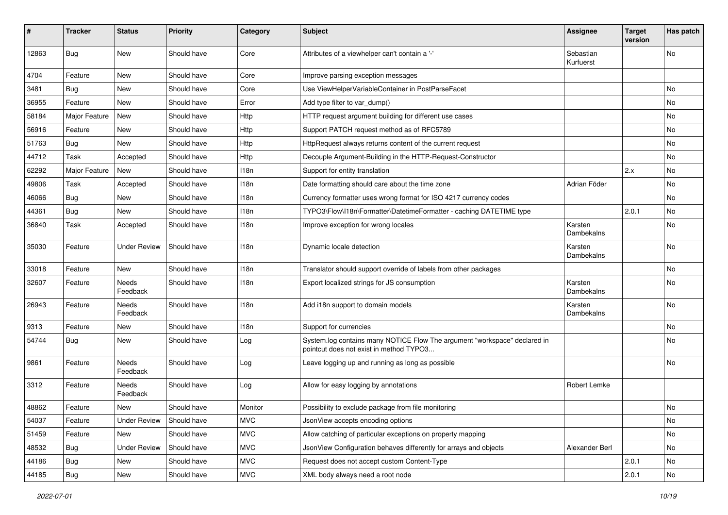| ∦     | <b>Tracker</b> | <b>Status</b>       | <b>Priority</b> | Category         | Subject                                                                                                              | <b>Assignee</b>        | <b>Target</b><br>version | Has patch |
|-------|----------------|---------------------|-----------------|------------------|----------------------------------------------------------------------------------------------------------------------|------------------------|--------------------------|-----------|
| 12863 | <b>Bug</b>     | New                 | Should have     | Core             | Attributes of a viewhelper can't contain a '-'                                                                       | Sebastian<br>Kurfuerst |                          | No        |
| 4704  | Feature        | New                 | Should have     | Core             | Improve parsing exception messages                                                                                   |                        |                          |           |
| 3481  | <b>Bug</b>     | New                 | Should have     | Core             | Use ViewHelperVariableContainer in PostParseFacet                                                                    |                        |                          | No        |
| 36955 | Feature        | New                 | Should have     | Error            | Add type filter to var dump()                                                                                        |                        |                          | No        |
| 58184 | Major Feature  | New                 | Should have     | Http             | HTTP request argument building for different use cases                                                               |                        |                          | No.       |
| 56916 | Feature        | New                 | Should have     | Http             | Support PATCH request method as of RFC5789                                                                           |                        |                          | No        |
| 51763 | <b>Bug</b>     | New                 | Should have     | Http             | HttpRequest always returns content of the current request                                                            |                        |                          | No        |
| 44712 | Task           | Accepted            | Should have     | Http             | Decouple Argument-Building in the HTTP-Request-Constructor                                                           |                        |                          | No        |
| 62292 | Major Feature  | New                 | Should have     | 118n             | Support for entity translation                                                                                       |                        | 2.x                      | No        |
| 49806 | Task           | Accepted            | Should have     | 118n             | Date formatting should care about the time zone                                                                      | Adrian Föder           |                          | No        |
| 46066 | Bug            | New                 | Should have     | 118n             | Currency formatter uses wrong format for ISO 4217 currency codes                                                     |                        |                          | No        |
| 44361 | <b>Bug</b>     | New                 | Should have     | 118n             | TYPO3\Flow\I18n\Formatter\DatetimeFormatter - caching DATETIME type                                                  |                        | 2.0.1                    | No        |
| 36840 | Task           | Accepted            | Should have     | 118n             | Improve exception for wrong locales                                                                                  | Karsten<br>Dambekalns  |                          | No.       |
| 35030 | Feature        | <b>Under Review</b> | Should have     | 118 <sub>n</sub> | Dynamic locale detection                                                                                             | Karsten<br>Dambekalns  |                          | No.       |
| 33018 | Feature        | New                 | Should have     | 118n             | Translator should support override of labels from other packages                                                     |                        |                          | No        |
| 32607 | Feature        | Needs<br>Feedback   | Should have     | 118n             | Export localized strings for JS consumption                                                                          | Karsten<br>Dambekalns  |                          | No        |
| 26943 | Feature        | Needs<br>Feedback   | Should have     | 118n             | Add i18n support to domain models                                                                                    | Karsten<br>Dambekalns  |                          | No        |
| 9313  | Feature        | New                 | Should have     | 118n             | Support for currencies                                                                                               |                        |                          | No        |
| 54744 | <b>Bug</b>     | New                 | Should have     | Log              | System.log contains many NOTICE Flow The argument "workspace" declared in<br>pointcut does not exist in method TYPO3 |                        |                          | No        |
| 9861  | Feature        | Needs<br>Feedback   | Should have     | Log              | Leave logging up and running as long as possible                                                                     |                        |                          | No        |
| 3312  | Feature        | Needs<br>Feedback   | Should have     | Log              | Allow for easy logging by annotations                                                                                | Robert Lemke           |                          |           |
| 48862 | Feature        | New                 | Should have     | Monitor          | Possibility to exclude package from file monitoring                                                                  |                        |                          | No        |
| 54037 | Feature        | <b>Under Review</b> | Should have     | <b>MVC</b>       | JsonView accepts encoding options                                                                                    |                        |                          | No        |
| 51459 | Feature        | New                 | Should have     | <b>MVC</b>       | Allow catching of particular exceptions on property mapping                                                          |                        |                          | No        |
| 48532 | Bug            | <b>Under Review</b> | Should have     | <b>MVC</b>       | JsonView Configuration behaves differently for arrays and objects                                                    | Alexander Berl         |                          | No        |
| 44186 | Bug            | New                 | Should have     | <b>MVC</b>       | Request does not accept custom Content-Type                                                                          |                        | 2.0.1                    | No        |
| 44185 | <b>Bug</b>     | New                 | Should have     | <b>MVC</b>       | XML body always need a root node                                                                                     |                        | 2.0.1                    | No        |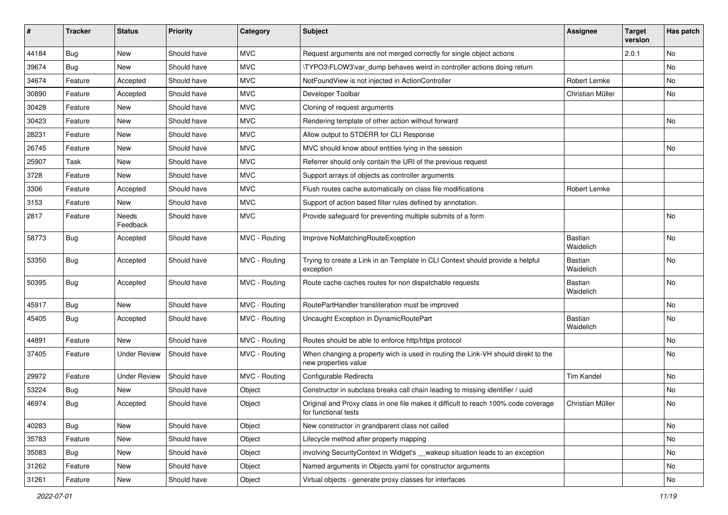| ∦     | <b>Tracker</b> | <b>Status</b>       | <b>Priority</b> | Category      | Subject                                                                                                     | <b>Assignee</b>             | <b>Target</b><br>version | Has patch |
|-------|----------------|---------------------|-----------------|---------------|-------------------------------------------------------------------------------------------------------------|-----------------------------|--------------------------|-----------|
| 44184 | Bug            | New                 | Should have     | <b>MVC</b>    | Request arguments are not merged correctly for single object actions                                        |                             | 2.0.1                    | No        |
| 39674 | <b>Bug</b>     | New                 | Should have     | <b>MVC</b>    | \TYPO3\FLOW3\var dump behaves weird in controller actions doing return                                      |                             |                          | No        |
| 34674 | Feature        | Accepted            | Should have     | <b>MVC</b>    | NotFoundView is not injected in ActionController                                                            | Robert Lemke                |                          | No        |
| 30890 | Feature        | Accepted            | Should have     | <b>MVC</b>    | Developer Toolbar                                                                                           | Christian Müller            |                          | No        |
| 30428 | Feature        | New                 | Should have     | <b>MVC</b>    | Cloning of request arguments                                                                                |                             |                          |           |
| 30423 | Feature        | New                 | Should have     | MVC           | Rendering template of other action without forward                                                          |                             |                          | No.       |
| 28231 | Feature        | New                 | Should have     | <b>MVC</b>    | Allow output to STDERR for CLI Response                                                                     |                             |                          |           |
| 26745 | Feature        | New                 | Should have     | <b>MVC</b>    | MVC should know about entities lying in the session                                                         |                             |                          | No        |
| 25907 | Task           | New                 | Should have     | <b>MVC</b>    | Referrer should only contain the URI of the previous request                                                |                             |                          |           |
| 3728  | Feature        | New                 | Should have     | <b>MVC</b>    | Support arrays of objects as controller arguments                                                           |                             |                          |           |
| 3306  | Feature        | Accepted            | Should have     | <b>MVC</b>    | Flush routes cache automatically on class file modifications                                                | Robert Lemke                |                          |           |
| 3153  | Feature        | New                 | Should have     | <b>MVC</b>    | Support of action based filter rules defined by annotation.                                                 |                             |                          |           |
| 2817  | Feature        | Needs<br>Feedback   | Should have     | <b>MVC</b>    | Provide safeguard for preventing multiple submits of a form                                                 |                             |                          | No        |
| 58773 | Bug            | Accepted            | Should have     | MVC - Routing | Improve NoMatchingRouteException                                                                            | <b>Bastian</b><br>Waidelich |                          | No        |
| 53350 | <b>Bug</b>     | Accepted            | Should have     | MVC - Routing | Trying to create a Link in an Template in CLI Context should provide a helpful<br>exception                 | <b>Bastian</b><br>Waidelich |                          | No        |
| 50395 | <b>Bug</b>     | Accepted            | Should have     | MVC - Routing | Route cache caches routes for non dispatchable requests                                                     | Bastian<br>Waidelich        |                          | No        |
| 45917 | <b>Bug</b>     | New                 | Should have     | MVC - Routing | RoutePartHandler transliteration must be improved                                                           |                             |                          | No        |
| 45405 | <b>Bug</b>     | Accepted            | Should have     | MVC - Routing | Uncaught Exception in DynamicRoutePart                                                                      | <b>Bastian</b><br>Waidelich |                          | No        |
| 44891 | Feature        | New                 | Should have     | MVC - Routing | Routes should be able to enforce http/https protocol                                                        |                             |                          | No        |
| 37405 | Feature        | <b>Under Review</b> | Should have     | MVC - Routing | When changing a property wich is used in routing the Link-VH should direkt to the<br>new properties value   |                             |                          | No        |
| 29972 | Feature        | <b>Under Review</b> | Should have     | MVC - Routing | <b>Configurable Redirects</b>                                                                               | <b>Tim Kandel</b>           |                          | No.       |
| 53224 | <b>Bug</b>     | New                 | Should have     | Object        | Constructor in subclass breaks call chain leading to missing identifier / uuid                              |                             |                          | No        |
| 46974 | <b>Bug</b>     | Accepted            | Should have     | Object        | Original and Proxy class in one file makes it difficult to reach 100% code coverage<br>for functional tests | Christian Müller            |                          | No        |
| 40283 | <b>Bug</b>     | New                 | Should have     | Object        | New constructor in grandparent class not called                                                             |                             |                          | No        |
| 35783 | Feature        | New                 | Should have     | Object        | Lifecycle method after property mapping                                                                     |                             |                          | No        |
| 35083 | Bug            | New                 | Should have     | Object        | involving SecurityContext in Widget's __ wakeup situation leads to an exception                             |                             |                          | No        |
| 31262 | Feature        | New                 | Should have     | Object        | Named arguments in Objects.yaml for constructor arguments                                                   |                             |                          | No        |
| 31261 | Feature        | New                 | Should have     | Object        | Virtual objects - generate proxy classes for interfaces                                                     |                             |                          | No        |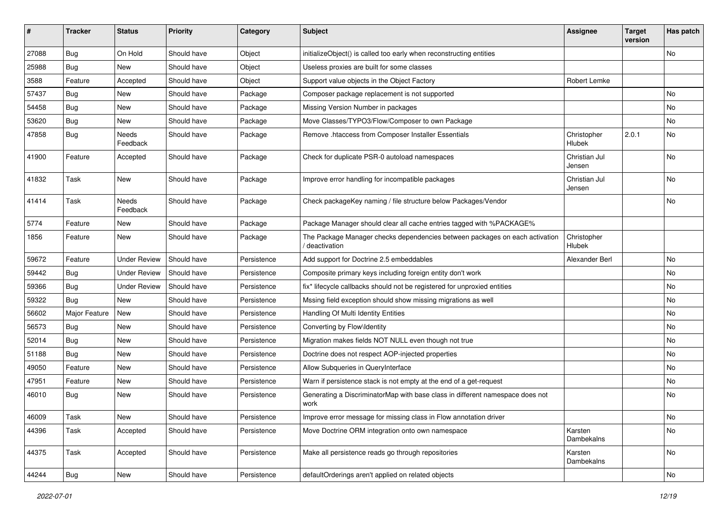| #     | <b>Tracker</b> | <b>Status</b>       | <b>Priority</b> | Category    | Subject                                                                                       | <b>Assignee</b>         | <b>Target</b><br>version | Has patch |
|-------|----------------|---------------------|-----------------|-------------|-----------------------------------------------------------------------------------------------|-------------------------|--------------------------|-----------|
| 27088 | Bug            | On Hold             | Should have     | Object      | initializeObject() is called too early when reconstructing entities                           |                         |                          | No        |
| 25988 | <b>Bug</b>     | New                 | Should have     | Object      | Useless proxies are built for some classes                                                    |                         |                          |           |
| 3588  | Feature        | Accepted            | Should have     | Object      | Support value objects in the Object Factory                                                   | Robert Lemke            |                          |           |
| 57437 | Bug            | <b>New</b>          | Should have     | Package     | Composer package replacement is not supported                                                 |                         |                          | No        |
| 54458 | <b>Bug</b>     | New                 | Should have     | Package     | Missing Version Number in packages                                                            |                         |                          | No        |
| 53620 | <b>Bug</b>     | New                 | Should have     | Package     | Move Classes/TYPO3/Flow/Composer to own Package                                               |                         |                          | No.       |
| 47858 | <b>Bug</b>     | Needs<br>Feedback   | Should have     | Package     | Remove .htaccess from Composer Installer Essentials                                           | Christopher<br>Hlubek   | 2.0.1                    | No        |
| 41900 | Feature        | Accepted            | Should have     | Package     | Check for duplicate PSR-0 autoload namespaces                                                 | Christian Jul<br>Jensen |                          | No        |
| 41832 | Task           | New                 | Should have     | Package     | Improve error handling for incompatible packages                                              | Christian Jul<br>Jensen |                          | No        |
| 41414 | Task           | Needs<br>Feedback   | Should have     | Package     | Check packageKey naming / file structure below Packages/Vendor                                |                         |                          | No        |
| 5774  | Feature        | New                 | Should have     | Package     | Package Manager should clear all cache entries tagged with %PACKAGE%                          |                         |                          |           |
| 1856  | Feature        | New                 | Should have     | Package     | The Package Manager checks dependencies between packages on each activation<br>/ deactivation | Christopher<br>Hlubek   |                          |           |
| 59672 | Feature        | <b>Under Review</b> | Should have     | Persistence | Add support for Doctrine 2.5 embeddables                                                      | Alexander Berl          |                          | No        |
| 59442 | <b>Bug</b>     | <b>Under Review</b> | Should have     | Persistence | Composite primary keys including foreign entity don't work                                    |                         |                          | No        |
| 59366 | Bug            | <b>Under Review</b> | Should have     | Persistence | fix* lifecycle callbacks should not be registered for unproxied entities                      |                         |                          | No        |
| 59322 | Bug            | New                 | Should have     | Persistence | Mssing field exception should show missing migrations as well                                 |                         |                          | No        |
| 56602 | Major Feature  | New                 | Should have     | Persistence | Handling Of Multi Identity Entities                                                           |                         |                          | No        |
| 56573 | <b>Bug</b>     | New                 | Should have     | Persistence | Converting by Flow\Identity                                                                   |                         |                          | No        |
| 52014 | <b>Bug</b>     | New                 | Should have     | Persistence | Migration makes fields NOT NULL even though not true                                          |                         |                          | No        |
| 51188 | <b>Bug</b>     | New                 | Should have     | Persistence | Doctrine does not respect AOP-injected properties                                             |                         |                          | No        |
| 49050 | Feature        | New                 | Should have     | Persistence | Allow Subqueries in QueryInterface                                                            |                         |                          | No        |
| 47951 | Feature        | New                 | Should have     | Persistence | Warn if persistence stack is not empty at the end of a get-request                            |                         |                          | No        |
| 46010 | <b>Bug</b>     | New                 | Should have     | Persistence | Generating a DiscriminatorMap with base class in different namespace does not<br>work         |                         |                          | No        |
| 46009 | Task           | New                 | Should have     | Persistence | Improve error message for missing class in Flow annotation driver                             |                         |                          | No        |
| 44396 | Task           | Accepted            | Should have     | Persistence | Move Doctrine ORM integration onto own namespace                                              | Karsten<br>Dambekalns   |                          | No        |
| 44375 | Task           | Accepted            | Should have     | Persistence | Make all persistence reads go through repositories                                            | Karsten<br>Dambekalns   |                          | No        |
| 44244 | <b>Bug</b>     | New                 | Should have     | Persistence | defaultOrderings aren't applied on related objects                                            |                         |                          | No        |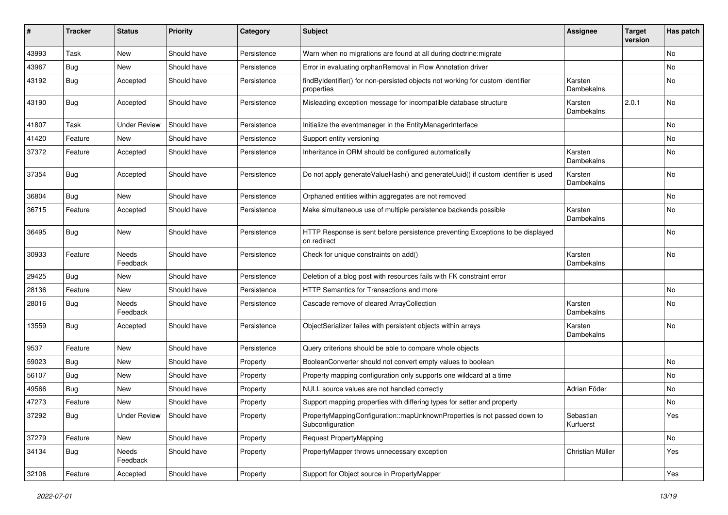| #     | <b>Tracker</b> | <b>Status</b>       | <b>Priority</b> | Category    | <b>Subject</b>                                                                                | <b>Assignee</b>        | <b>Target</b><br>version | Has patch |
|-------|----------------|---------------------|-----------------|-------------|-----------------------------------------------------------------------------------------------|------------------------|--------------------------|-----------|
| 43993 | Task           | New                 | Should have     | Persistence | Warn when no migrations are found at all during doctrine: migrate                             |                        |                          | No        |
| 43967 | <b>Bug</b>     | New                 | Should have     | Persistence | Error in evaluating orphanRemoval in Flow Annotation driver                                   |                        |                          | No        |
| 43192 | <b>Bug</b>     | Accepted            | Should have     | Persistence | findByIdentifier() for non-persisted objects not working for custom identifier<br>properties  | Karsten<br>Dambekalns  |                          | No        |
| 43190 | Bug            | Accepted            | Should have     | Persistence | Misleading exception message for incompatible database structure                              | Karsten<br>Dambekalns  | 2.0.1                    | No        |
| 41807 | Task           | <b>Under Review</b> | Should have     | Persistence | Initialize the eventmanager in the EntityManagerInterface                                     |                        |                          | No        |
| 41420 | Feature        | New                 | Should have     | Persistence | Support entity versioning                                                                     |                        |                          | No        |
| 37372 | Feature        | Accepted            | Should have     | Persistence | Inheritance in ORM should be configured automatically                                         | Karsten<br>Dambekalns  |                          | No        |
| 37354 | Bug            | Accepted            | Should have     | Persistence | Do not apply generateValueHash() and generateUuid() if custom identifier is used              | Karsten<br>Dambekalns  |                          | No        |
| 36804 | Bug            | <b>New</b>          | Should have     | Persistence | Orphaned entities within aggregates are not removed                                           |                        |                          | No        |
| 36715 | Feature        | Accepted            | Should have     | Persistence | Make simultaneous use of multiple persistence backends possible                               | Karsten<br>Dambekalns  |                          | No        |
| 36495 | Bug            | New                 | Should have     | Persistence | HTTP Response is sent before persistence preventing Exceptions to be displayed<br>on redirect |                        |                          | No        |
| 30933 | Feature        | Needs<br>Feedback   | Should have     | Persistence | Check for unique constraints on add()                                                         | Karsten<br>Dambekalns  |                          | No        |
| 29425 | Bug            | <b>New</b>          | Should have     | Persistence | Deletion of a blog post with resources fails with FK constraint error                         |                        |                          |           |
| 28136 | Feature        | New                 | Should have     | Persistence | HTTP Semantics for Transactions and more                                                      |                        |                          | No        |
| 28016 | <b>Bug</b>     | Needs<br>Feedback   | Should have     | Persistence | Cascade remove of cleared ArrayCollection                                                     | Karsten<br>Dambekalns  |                          | No        |
| 13559 | Bug            | Accepted            | Should have     | Persistence | ObjectSerializer failes with persistent objects within arrays                                 | Karsten<br>Dambekalns  |                          | No        |
| 9537  | Feature        | <b>New</b>          | Should have     | Persistence | Query criterions should be able to compare whole objects                                      |                        |                          |           |
| 59023 | <b>Bug</b>     | New                 | Should have     | Property    | BooleanConverter should not convert empty values to boolean                                   |                        |                          | No        |
| 56107 | <b>Bug</b>     | New                 | Should have     | Property    | Property mapping configuration only supports one wildcard at a time                           |                        |                          | No        |
| 49566 | Bug            | New                 | Should have     | Property    | NULL source values are not handled correctly                                                  | Adrian Föder           |                          | No        |
| 47273 | Feature        | New                 | Should have     | Property    | Support mapping properties with differing types for setter and property                       |                        |                          | No        |
| 37292 | <b>Bug</b>     | <b>Under Review</b> | Should have     | Property    | PropertyMappingConfiguration::mapUnknownProperties is not passed down to<br>Subconfiguration  | Sebastian<br>Kurfuerst |                          | Yes       |
| 37279 | Feature        | New                 | Should have     | Property    | Request PropertyMapping                                                                       |                        |                          | No        |
| 34134 | Bug            | Needs<br>Feedback   | Should have     | Property    | PropertyMapper throws unnecessary exception                                                   | Christian Müller       |                          | Yes       |
| 32106 | Feature        | Accepted            | Should have     | Property    | Support for Object source in PropertyMapper                                                   |                        |                          | Yes       |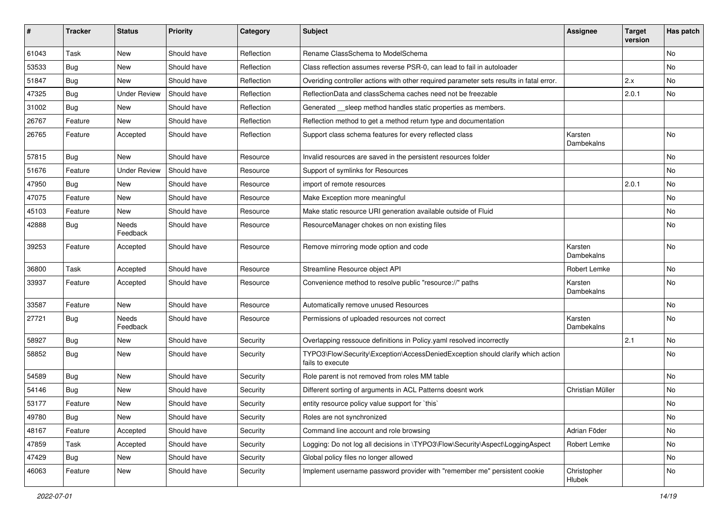| ∦     | <b>Tracker</b> | <b>Status</b>       | Priority    | Category   | Subject                                                                                             | <b>Assignee</b>       | <b>Target</b><br>version | Has patch |
|-------|----------------|---------------------|-------------|------------|-----------------------------------------------------------------------------------------------------|-----------------------|--------------------------|-----------|
| 61043 | Task           | New                 | Should have | Reflection | Rename ClassSchema to ModelSchema                                                                   |                       |                          | <b>No</b> |
| 53533 | Bug            | New                 | Should have | Reflection | Class reflection assumes reverse PSR-0, can lead to fail in autoloader                              |                       |                          | No        |
| 51847 | <b>Bug</b>     | New                 | Should have | Reflection | Overiding controller actions with other required parameter sets results in fatal error.             |                       | 2.x                      | <b>No</b> |
| 47325 | Bug            | <b>Under Review</b> | Should have | Reflection | ReflectionData and classSchema caches need not be freezable                                         |                       | 2.0.1                    | <b>No</b> |
| 31002 | <b>Bug</b>     | New                 | Should have | Reflection | Generated __sleep method handles static properties as members.                                      |                       |                          |           |
| 26767 | Feature        | <b>New</b>          | Should have | Reflection | Reflection method to get a method return type and documentation                                     |                       |                          |           |
| 26765 | Feature        | Accepted            | Should have | Reflection | Support class schema features for every reflected class                                             | Karsten<br>Dambekalns |                          | <b>No</b> |
| 57815 | Bug            | New                 | Should have | Resource   | Invalid resources are saved in the persistent resources folder                                      |                       |                          | No        |
| 51676 | Feature        | Under Review        | Should have | Resource   | Support of symlinks for Resources                                                                   |                       |                          | <b>No</b> |
| 47950 | Bug            | New                 | Should have | Resource   | import of remote resources                                                                          |                       | 2.0.1                    | No        |
| 47075 | Feature        | <b>New</b>          | Should have | Resource   | Make Exception more meaningful                                                                      |                       |                          | <b>No</b> |
| 45103 | Feature        | New                 | Should have | Resource   | Make static resource URI generation available outside of Fluid                                      |                       |                          | No        |
| 42888 | <b>Bug</b>     | Needs<br>Feedback   | Should have | Resource   | ResourceManager chokes on non existing files                                                        |                       |                          | <b>No</b> |
| 39253 | Feature        | Accepted            | Should have | Resource   | Remove mirroring mode option and code                                                               | Karsten<br>Dambekalns |                          | <b>No</b> |
| 36800 | Task           | Accepted            | Should have | Resource   | Streamline Resource object API                                                                      | Robert Lemke          |                          | No        |
| 33937 | Feature        | Accepted            | Should have | Resource   | Convenience method to resolve public "resource://" paths                                            | Karsten<br>Dambekalns |                          | <b>No</b> |
| 33587 | Feature        | New                 | Should have | Resource   | Automatically remove unused Resources                                                               |                       |                          | No        |
| 27721 | <b>Bug</b>     | Needs<br>Feedback   | Should have | Resource   | Permissions of uploaded resources not correct                                                       | Karsten<br>Dambekalns |                          | <b>No</b> |
| 58927 | Bug            | New                 | Should have | Security   | Overlapping ressouce definitions in Policy.yaml resolved incorrectly                                |                       | 2.1                      | <b>No</b> |
| 58852 | <b>Bug</b>     | New                 | Should have | Security   | TYPO3\Flow\Security\Exception\AccessDeniedException should clarify which action<br>fails to execute |                       |                          | No        |
| 54589 | Bug            | New                 | Should have | Security   | Role parent is not removed from roles MM table                                                      |                       |                          | <b>No</b> |
| 54146 | Bug            | New                 | Should have | Security   | Different sorting of arguments in ACL Patterns doesnt work                                          | Christian Müller      |                          | <b>No</b> |
| 53177 | Feature        | New                 | Should have | Security   | entity resource policy value support for `this`                                                     |                       |                          | No        |
| 49780 | <b>Bug</b>     | New                 | Should have | Security   | Roles are not synchronized                                                                          |                       |                          | No        |
| 48167 | Feature        | Accepted            | Should have | Security   | Command line account and role browsing                                                              | Adrian Föder          |                          | No        |
| 47859 | Task           | Accepted            | Should have | Security   | Logging: Do not log all decisions in \TYPO3\Flow\Security\Aspect\LoggingAspect                      | Robert Lemke          |                          | No        |
| 47429 | Bug            | New                 | Should have | Security   | Global policy files no longer allowed                                                               |                       |                          | No        |
| 46063 | Feature        | New                 | Should have | Security   | Implement username password provider with "remember me" persistent cookie                           | Christopher<br>Hlubek |                          | No        |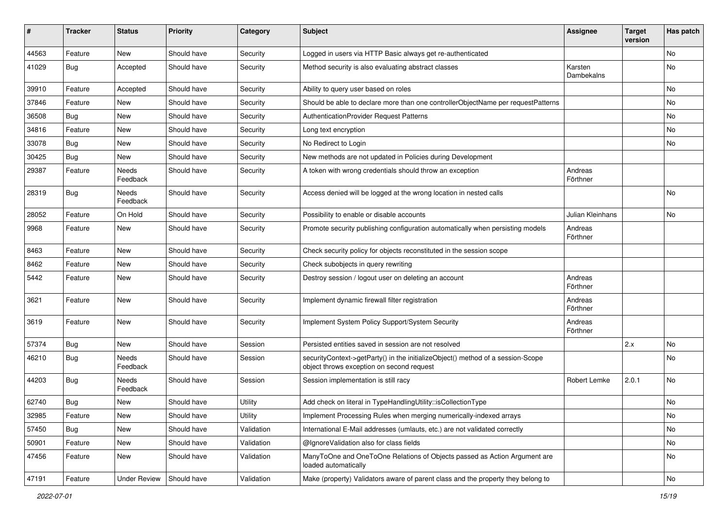| ∦     | <b>Tracker</b> | <b>Status</b>       | <b>Priority</b> | Category   | <b>Subject</b>                                                                                                               | <b>Assignee</b>         | <b>Target</b><br>version | Has patch |
|-------|----------------|---------------------|-----------------|------------|------------------------------------------------------------------------------------------------------------------------------|-------------------------|--------------------------|-----------|
| 44563 | Feature        | New                 | Should have     | Security   | Logged in users via HTTP Basic always get re-authenticated                                                                   |                         |                          | No        |
| 41029 | <b>Bug</b>     | Accepted            | Should have     | Security   | Method security is also evaluating abstract classes                                                                          | Karsten<br>Dambekalns   |                          | No        |
| 39910 | Feature        | Accepted            | Should have     | Security   | Ability to query user based on roles                                                                                         |                         |                          | No        |
| 37846 | Feature        | New                 | Should have     | Security   | Should be able to declare more than one controllerObjectName per requestPatterns                                             |                         |                          | No        |
| 36508 | <b>Bug</b>     | New                 | Should have     | Security   | AuthenticationProvider Request Patterns                                                                                      |                         |                          | No        |
| 34816 | Feature        | New                 | Should have     | Security   | Long text encryption                                                                                                         |                         |                          | No        |
| 33078 | <b>Bug</b>     | New                 | Should have     | Security   | No Redirect to Login                                                                                                         |                         |                          | No        |
| 30425 | Bug            | New                 | Should have     | Security   | New methods are not updated in Policies during Development                                                                   |                         |                          |           |
| 29387 | Feature        | Needs<br>Feedback   | Should have     | Security   | A token with wrong credentials should throw an exception                                                                     | Andreas<br>Förthner     |                          |           |
| 28319 | <b>Bug</b>     | Needs<br>Feedback   | Should have     | Security   | Access denied will be logged at the wrong location in nested calls                                                           |                         |                          | No        |
| 28052 | Feature        | On Hold             | Should have     | Security   | Possibility to enable or disable accounts                                                                                    | <b>Julian Kleinhans</b> |                          | No        |
| 9968  | Feature        | New                 | Should have     | Security   | Promote security publishing configuration automatically when persisting models                                               | Andreas<br>Förthner     |                          |           |
| 8463  | Feature        | New                 | Should have     | Security   | Check security policy for objects reconstituted in the session scope                                                         |                         |                          |           |
| 8462  | Feature        | New                 | Should have     | Security   | Check subobjects in query rewriting                                                                                          |                         |                          |           |
| 5442  | Feature        | New                 | Should have     | Security   | Destroy session / logout user on deleting an account                                                                         | Andreas<br>Förthner     |                          |           |
| 3621  | Feature        | <b>New</b>          | Should have     | Security   | Implement dynamic firewall filter registration                                                                               | Andreas<br>Förthner     |                          |           |
| 3619  | Feature        | New                 | Should have     | Security   | Implement System Policy Support/System Security                                                                              | Andreas<br>Förthner     |                          |           |
| 57374 | Bug            | New                 | Should have     | Session    | Persisted entities saved in session are not resolved                                                                         |                         | 2.x                      | <b>No</b> |
| 46210 | <b>Bug</b>     | Needs<br>Feedback   | Should have     | Session    | securityContext->getParty() in the initializeObject() method of a session-Scope<br>object throws exception on second request |                         |                          | No        |
| 44203 | <b>Bug</b>     | Needs<br>Feedback   | Should have     | Session    | Session implementation is still racy                                                                                         | Robert Lemke            | 2.0.1                    | No        |
| 62740 | <b>Bug</b>     | New                 | Should have     | Utility    | Add check on literal in TypeHandlingUtility::isCollectionType                                                                |                         |                          | No        |
| 32985 | Feature        | New                 | Should have     | Utility    | Implement Processing Rules when merging numerically-indexed arrays                                                           |                         |                          | No        |
| 57450 | Bug            | New                 | Should have     | Validation | International E-Mail addresses (umlauts, etc.) are not validated correctly                                                   |                         |                          | No        |
| 50901 | Feature        | New                 | Should have     | Validation | @IgnoreValidation also for class fields                                                                                      |                         |                          | No        |
| 47456 | Feature        | New                 | Should have     | Validation | ManyToOne and OneToOne Relations of Objects passed as Action Argument are<br>loaded automatically                            |                         |                          | No        |
| 47191 | Feature        | <b>Under Review</b> | Should have     | Validation | Make (property) Validators aware of parent class and the property they belong to                                             |                         |                          | No        |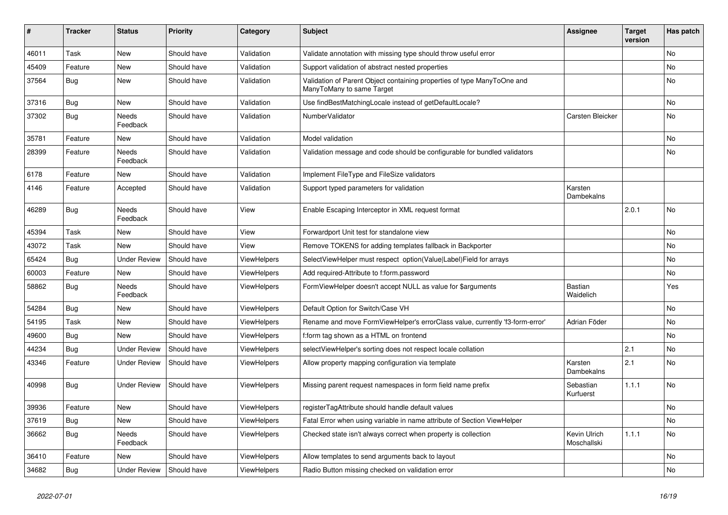| ∦     | <b>Tracker</b> | <b>Status</b>       | <b>Priority</b> | Category           | Subject                                                                                              | <b>Assignee</b>             | <b>Target</b><br>version | Has patch |
|-------|----------------|---------------------|-----------------|--------------------|------------------------------------------------------------------------------------------------------|-----------------------------|--------------------------|-----------|
| 46011 | Task           | New                 | Should have     | Validation         | Validate annotation with missing type should throw useful error                                      |                             |                          | No        |
| 45409 | Feature        | New                 | Should have     | Validation         | Support validation of abstract nested properties                                                     |                             |                          | No        |
| 37564 | <b>Bug</b>     | New                 | Should have     | Validation         | Validation of Parent Object containing properties of type ManyToOne and<br>ManyToMany to same Target |                             |                          | No        |
| 37316 | Bug            | New                 | Should have     | Validation         | Use findBestMatchingLocale instead of getDefaultLocale?                                              |                             |                          | No        |
| 37302 | <b>Bug</b>     | Needs<br>Feedback   | Should have     | Validation         | NumberValidator                                                                                      | Carsten Bleicker            |                          | No        |
| 35781 | Feature        | New                 | Should have     | Validation         | Model validation                                                                                     |                             |                          | No        |
| 28399 | Feature        | Needs<br>Feedback   | Should have     | Validation         | Validation message and code should be configurable for bundled validators                            |                             |                          | No        |
| 6178  | Feature        | <b>New</b>          | Should have     | Validation         | Implement FileType and FileSize validators                                                           |                             |                          |           |
| 4146  | Feature        | Accepted            | Should have     | Validation         | Support typed parameters for validation                                                              | Karsten<br>Dambekalns       |                          |           |
| 46289 | <b>Bug</b>     | Needs<br>Feedback   | Should have     | View               | Enable Escaping Interceptor in XML request format                                                    |                             | 2.0.1                    | No        |
| 45394 | Task           | New                 | Should have     | View               | Forwardport Unit test for standalone view                                                            |                             |                          | No        |
| 43072 | Task           | <b>New</b>          | Should have     | View               | Remove TOKENS for adding templates fallback in Backporter                                            |                             |                          | No        |
| 65424 | <b>Bug</b>     | <b>Under Review</b> | Should have     | ViewHelpers        | SelectViewHelper must respect option(Value Label)Field for arrays                                    |                             |                          | No        |
| 60003 | Feature        | New                 | Should have     | ViewHelpers        | Add required-Attribute to f:form.password                                                            |                             |                          | No        |
| 58862 | <b>Bug</b>     | Needs<br>Feedback   | Should have     | ViewHelpers        | FormViewHelper doesn't accept NULL as value for \$arguments                                          | <b>Bastian</b><br>Waidelich |                          | Yes       |
| 54284 | <b>Bug</b>     | New                 | Should have     | ViewHelpers        | Default Option for Switch/Case VH                                                                    |                             |                          | No        |
| 54195 | Task           | <b>New</b>          | Should have     | ViewHelpers        | Rename and move FormViewHelper's errorClass value, currently 'f3-form-error'                         | Adrian Föder                |                          | No        |
| 49600 | <b>Bug</b>     | New                 | Should have     | <b>ViewHelpers</b> | f:form tag shown as a HTML on frontend                                                               |                             |                          | No        |
| 44234 | <b>Bug</b>     | <b>Under Review</b> | Should have     | <b>ViewHelpers</b> | selectViewHelper's sorting does not respect locale collation                                         |                             | 2.1                      | No        |
| 43346 | Feature        | <b>Under Review</b> | Should have     | ViewHelpers        | Allow property mapping configuration via template                                                    | Karsten<br>Dambekalns       | 2.1                      | No        |
| 40998 | Bug            | <b>Under Review</b> | Should have     | ViewHelpers        | Missing parent request namespaces in form field name prefix                                          | Sebastian<br>Kurfuerst      | 1.1.1                    | No        |
| 39936 | Feature        | New                 | Should have     | <b>ViewHelpers</b> | registerTagAttribute should handle default values                                                    |                             |                          | No        |
| 37619 | Bug            | New                 | Should have     | ViewHelpers        | Fatal Error when using variable in name attribute of Section ViewHelper                              |                             |                          | No        |
| 36662 | <b>Bug</b>     | Needs<br>Feedback   | Should have     | ViewHelpers        | Checked state isn't always correct when property is collection                                       | Kevin Ulrich<br>Moschallski | 1.1.1                    | No        |
| 36410 | Feature        | New                 | Should have     | ViewHelpers        | Allow templates to send arguments back to layout                                                     |                             |                          | No        |
| 34682 | <b>Bug</b>     | <b>Under Review</b> | Should have     | ViewHelpers        | Radio Button missing checked on validation error                                                     |                             |                          | No        |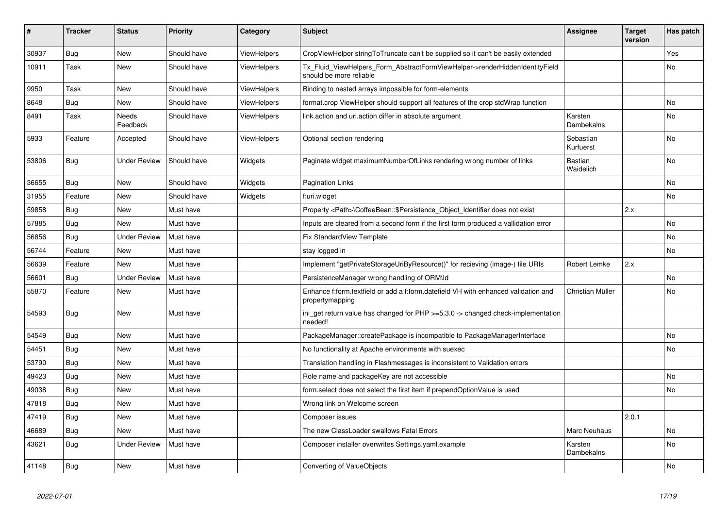| ∦     | <b>Tracker</b> | <b>Status</b>       | <b>Priority</b> | Category           | <b>Subject</b>                                                                                         | <b>Assignee</b>             | <b>Target</b><br>version | Has patch      |
|-------|----------------|---------------------|-----------------|--------------------|--------------------------------------------------------------------------------------------------------|-----------------------------|--------------------------|----------------|
| 30937 | <b>Bug</b>     | New                 | Should have     | <b>ViewHelpers</b> | CropViewHelper stringToTruncate can't be supplied so it can't be easily extended                       |                             |                          | Yes            |
| 10911 | Task           | New                 | Should have     | <b>ViewHelpers</b> | Tx_Fluid_ViewHelpers_Form_AbstractFormViewHelper->renderHiddenIdentityField<br>should be more reliable |                             |                          | No             |
| 9950  | Task           | New                 | Should have     | <b>ViewHelpers</b> | Binding to nested arrays impossible for form-elements                                                  |                             |                          |                |
| 8648  | <b>Bug</b>     | New                 | Should have     | <b>ViewHelpers</b> | format.crop ViewHelper should support all features of the crop stdWrap function                        |                             |                          | N <sub>o</sub> |
| 8491  | Task           | Needs<br>Feedback   | Should have     | <b>ViewHelpers</b> | link.action and uri.action differ in absolute argument                                                 | Karsten<br>Dambekalns       |                          | No             |
| 5933  | Feature        | Accepted            | Should have     | <b>ViewHelpers</b> | Optional section rendering                                                                             | Sebastian<br>Kurfuerst      |                          | N <sub>o</sub> |
| 53806 | Bug            | <b>Under Review</b> | Should have     | Widgets            | Paginate widget maximumNumberOfLinks rendering wrong number of links                                   | <b>Bastian</b><br>Waidelich |                          | No             |
| 36655 | <b>Bug</b>     | <b>New</b>          | Should have     | Widgets            | <b>Pagination Links</b>                                                                                |                             |                          | No             |
| 31955 | Feature        | New                 | Should have     | Widgets            | f:uri.widget                                                                                           |                             |                          | No             |
| 59858 | Bug            | New                 | Must have       |                    | Property <path>\CoffeeBean::\$Persistence Object Identifier does not exist</path>                      |                             | 2.x                      |                |
| 57885 | Bug            | New                 | Must have       |                    | Inputs are cleared from a second form if the first form produced a vallidation error                   |                             |                          | N <sub>o</sub> |
| 56856 | <b>Bug</b>     | <b>Under Review</b> | Must have       |                    | Fix StandardView Template                                                                              |                             |                          | No             |
| 56744 | Feature        | New                 | Must have       |                    | stay logged in                                                                                         |                             |                          | No             |
| 56639 | Feature        | New                 | Must have       |                    | Implement "getPrivateStorageUriByResource()" for recieving (image-) file URIs                          | Robert Lemke                | 2.x                      |                |
| 56601 | <b>Bug</b>     | <b>Under Review</b> | Must have       |                    | PersistenceManager wrong handling of ORM\ld                                                            |                             |                          | No             |
| 55870 | Feature        | New                 | Must have       |                    | Enhance f:form.textfield or add a f:form.datefield VH with enhanced validation and<br>propertymapping  | Christian Müller            |                          | No             |
| 54593 | <b>Bug</b>     | New                 | Must have       |                    | ini_get return value has changed for PHP >=5.3.0 -> changed check-implementation<br>needed!            |                             |                          |                |
| 54549 | Bug            | <b>New</b>          | Must have       |                    | PackageManager::createPackage is incompatible to PackageManagerInterface                               |                             |                          | <b>No</b>      |
| 54451 | <b>Bug</b>     | New                 | Must have       |                    | No functionality at Apache environments with suexec                                                    |                             |                          | <b>No</b>      |
| 53790 | <b>Bug</b>     | New                 | Must have       |                    | Translation handling in Flashmessages is inconsistent to Validation errors                             |                             |                          |                |
| 49423 | <b>Bug</b>     | <b>New</b>          | Must have       |                    | Role name and packageKey are not accessible                                                            |                             |                          | <b>No</b>      |
| 49038 | Bug            | <b>New</b>          | Must have       |                    | form select does not select the first item if prependOptionValue is used                               |                             |                          | <b>No</b>      |
| 47818 | Bug            | New                 | Must have       |                    | Wrong link on Welcome screen                                                                           |                             |                          |                |
| 47419 | <b>Bug</b>     | New                 | Must have       |                    | Composer issues                                                                                        |                             | 2.0.1                    |                |
| 46689 | <b>Bug</b>     | <b>New</b>          | Must have       |                    | The new ClassLoader swallows Fatal Errors                                                              | <b>Marc Neuhaus</b>         |                          | No             |
| 43621 | Bug            | <b>Under Review</b> | Must have       |                    | Composer installer overwrites Settings.yaml.example                                                    | Karsten<br>Dambekalns       |                          | No             |
| 41148 | <b>Bug</b>     | <b>New</b>          | Must have       |                    | Converting of ValueObjects                                                                             |                             |                          | No             |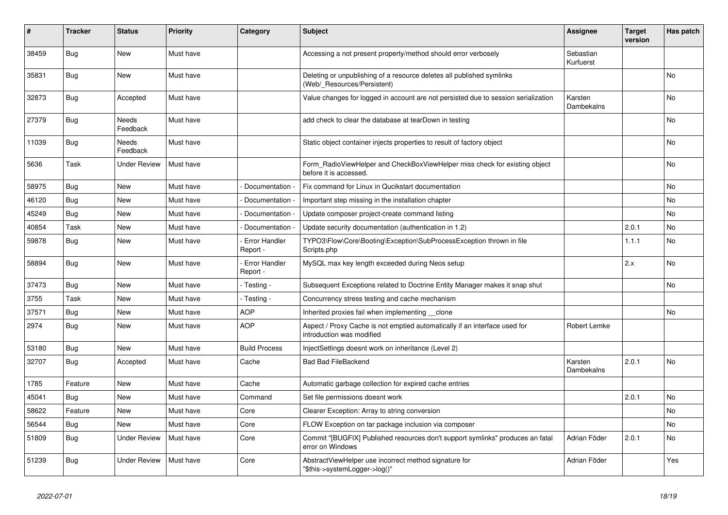| #     | <b>Tracker</b> | <b>Status</b>            | <b>Priority</b> | Category                  | <b>Subject</b>                                                                                          | <b>Assignee</b>        | <b>Target</b><br>version | Has patch      |
|-------|----------------|--------------------------|-----------------|---------------------------|---------------------------------------------------------------------------------------------------------|------------------------|--------------------------|----------------|
| 38459 | <b>Bug</b>     | <b>New</b>               | Must have       |                           | Accessing a not present property/method should error verbosely                                          | Sebastian<br>Kurfuerst |                          |                |
| 35831 | <b>Bug</b>     | <b>New</b>               | Must have       |                           | Deleting or unpublishing of a resource deletes all published symlinks<br>(Web/ Resources/Persistent)    |                        |                          | <b>No</b>      |
| 32873 | <b>Bug</b>     | Accepted                 | Must have       |                           | Value changes for logged in account are not persisted due to session serialization                      | Karsten<br>Dambekalns  |                          | No             |
| 27379 | <b>Bug</b>     | <b>Needs</b><br>Feedback | Must have       |                           | add check to clear the database at tearDown in testing                                                  |                        |                          | No.            |
| 11039 | Bug            | Needs<br>Feedback        | Must have       |                           | Static object container injects properties to result of factory object                                  |                        |                          | No             |
| 5636  | Task           | <b>Under Review</b>      | Must have       |                           | Form_RadioViewHelper and CheckBoxViewHelper miss check for existing object<br>before it is accessed.    |                        |                          | No             |
| 58975 | Bug            | New                      | Must have       | Documentation -           | Fix command for Linux in Qucikstart documentation                                                       |                        |                          | No             |
| 46120 | <b>Bug</b>     | New                      | Must have       | Documentation             | Important step missing in the installation chapter                                                      |                        |                          | No             |
| 45249 | Bug            | New                      | Must have       | Documentation             | Update composer project-create command listing                                                          |                        |                          | No             |
| 40854 | Task           | New                      | Must have       | Documentation             | Update security documentation (authentication in 1.2)                                                   |                        | 2.0.1                    | No             |
| 59878 | <b>Bug</b>     | New                      | Must have       | Error Handler<br>Report - | TYPO3\Flow\Core\Booting\Exception\SubProcessException thrown in file<br>Scripts.php                     |                        | 1.1.1                    | No             |
| 58894 | Bug            | New                      | Must have       | Error Handler<br>Report - | MySQL max key length exceeded during Neos setup                                                         |                        | 2.x                      | <b>No</b>      |
| 37473 | Bug            | New                      | Must have       | - Testing -               | Subsequent Exceptions related to Doctrine Entity Manager makes it snap shut                             |                        |                          | N <sub>o</sub> |
| 3755  | Task           | <b>New</b>               | Must have       | - Testing -               | Concurrency stress testing and cache mechanism                                                          |                        |                          |                |
| 37571 | <b>Bug</b>     | <b>New</b>               | Must have       | AOP                       | Inherited proxies fail when implementing __clone                                                        |                        |                          | <b>No</b>      |
| 2974  | <b>Bug</b>     | New                      | Must have       | AOP                       | Aspect / Proxy Cache is not emptied automatically if an interface used for<br>introduction was modified | Robert Lemke           |                          |                |
| 53180 | <b>Bug</b>     | New                      | Must have       | <b>Build Process</b>      | InjectSettings doesnt work on inheritance (Level 2)                                                     |                        |                          |                |
| 32707 | Bug            | Accepted                 | Must have       | Cache                     | <b>Bad Bad FileBackend</b>                                                                              | Karsten<br>Dambekalns  | 2.0.1                    | No             |
| 1785  | Feature        | New                      | Must have       | Cache                     | Automatic garbage collection for expired cache entries                                                  |                        |                          |                |
| 45041 | Bug            | New                      | Must have       | Command                   | Set file permissions doesnt work                                                                        |                        | 2.0.1                    | N <sub>o</sub> |
| 58622 | Feature        | New                      | Must have       | Core                      | Clearer Exception: Array to string conversion                                                           |                        |                          | No             |
| 56544 | <b>Bug</b>     | New                      | Must have       | Core                      | FLOW Exception on tar package inclusion via composer                                                    |                        |                          | No             |
| 51809 | <b>Bug</b>     | Under Review             | Must have       | Core                      | Commit "[BUGFIX] Published resources don't support symlinks" produces an fatal<br>error on Windows      | Adrian Föder           | 2.0.1                    | No             |
| 51239 | Bug            | Under Review             | Must have       | Core                      | AbstractViewHelper use incorrect method signature for<br>"\$this->systemLogger->log()"                  | Adrian Föder           |                          | Yes            |